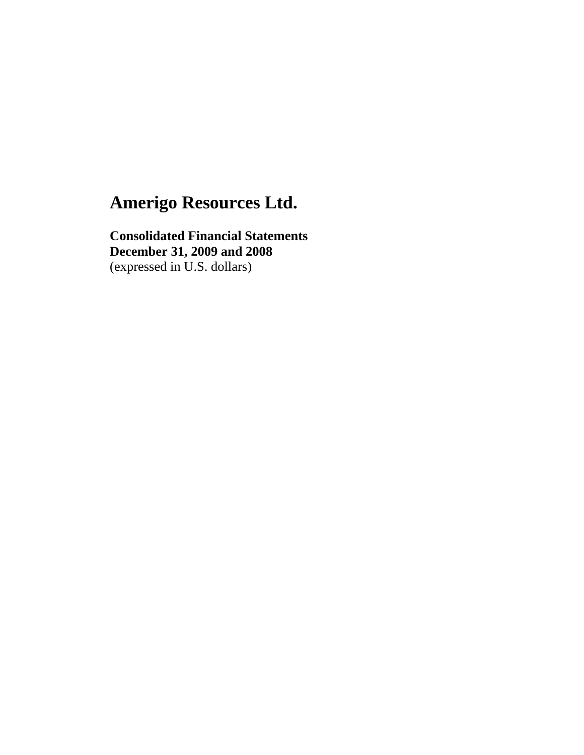**Consolidated Financial Statements December 31, 2009 and 2008**  (expressed in U.S. dollars)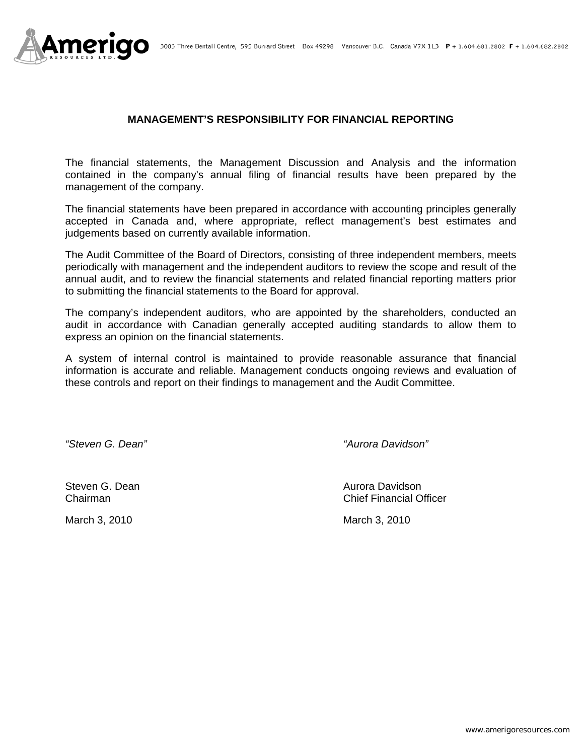

## **MANAGEMENT'S RESPONSIBILITY FOR FINANCIAL REPORTING**

The financial statements, the Management Discussion and Analysis and the information contained in the company's annual filing of financial results have been prepared by the management of the company.

The financial statements have been prepared in accordance with accounting principles generally accepted in Canada and, where appropriate, reflect management's best estimates and judgements based on currently available information.

The Audit Committee of the Board of Directors, consisting of three independent members, meets periodically with management and the independent auditors to review the scope and result of the annual audit, and to review the financial statements and related financial reporting matters prior to submitting the financial statements to the Board for approval.

The company's independent auditors, who are appointed by the shareholders, conducted an audit in accordance with Canadian generally accepted auditing standards to allow them to express an opinion on the financial statements.

A system of internal control is maintained to provide reasonable assurance that financial information is accurate and reliable. Management conducts ongoing reviews and evaluation of these controls and report on their findings to management and the Audit Committee.

*"Steven G. Dean" "Aurora Davidson"* 

Steven G. Dean **Aurora Davidson** Aurora Davidson Chairman Chief Financial Officer

March 3, 2010 March 3, 2010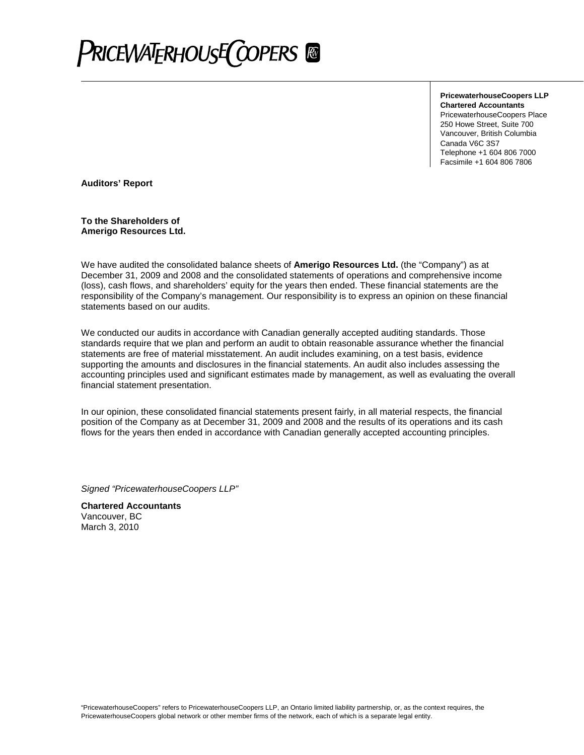

**PricewaterhouseCoopers LLP Chartered Accountants** PricewaterhouseCoopers Place 250 Howe Street, Suite 700 Vancouver, British Columbia Canada V6C 3S7 Telephone +1 604 806 7000 Facsimile +1 604 806 7806

**Auditors' Report**

**To the Shareholders of Amerigo Resources Ltd.**

We have audited the consolidated balance sheets of **Amerigo Resources Ltd.** (the "Company") as at December 31, 2009 and 2008 and the consolidated statements of operations and comprehensive income (loss), cash flows, and shareholders' equity for the years then ended. These financial statements are the responsibility of the Company's management. Our responsibility is to express an opinion on these financial statements based on our audits.

We conducted our audits in accordance with Canadian generally accepted auditing standards. Those standards require that we plan and perform an audit to obtain reasonable assurance whether the financial statements are free of material misstatement. An audit includes examining, on a test basis, evidence supporting the amounts and disclosures in the financial statements. An audit also includes assessing the accounting principles used and significant estimates made by management, as well as evaluating the overall financial statement presentation.

In our opinion, these consolidated financial statements present fairly, in all material respects, the financial position of the Company as at December 31, 2009 and 2008 and the results of its operations and its cash flows for the years then ended in accordance with Canadian generally accepted accounting principles.

*Signed "PricewaterhouseCoopers LLP"*

**Chartered Accountants** Vancouver, BC March 3, 2010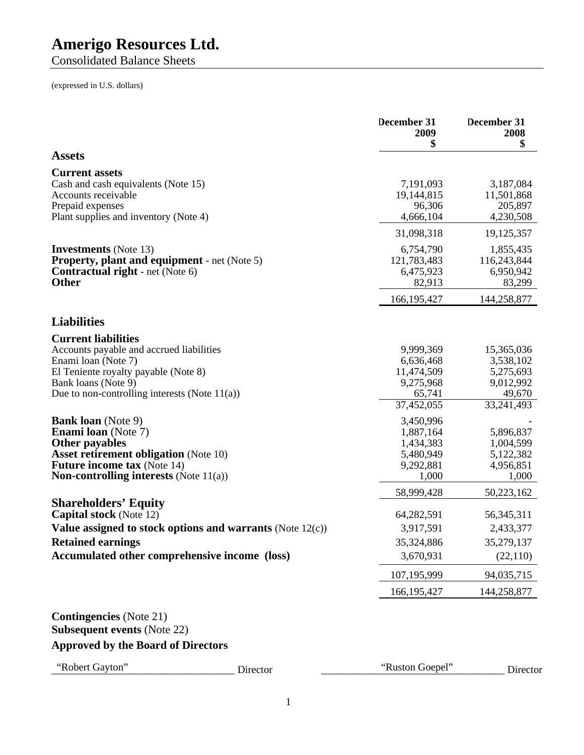Consolidated Balance Sheets

(expressed in U.S. dollars)

|                                                                                                                                                                                                                            |                                                              | December 31<br>2009<br>\$                                                 | December 31<br>2008<br>\$                                                 |
|----------------------------------------------------------------------------------------------------------------------------------------------------------------------------------------------------------------------------|--------------------------------------------------------------|---------------------------------------------------------------------------|---------------------------------------------------------------------------|
| <b>Assets</b>                                                                                                                                                                                                              |                                                              |                                                                           |                                                                           |
| <b>Current assets</b><br>Cash and cash equivalents (Note 15)<br>Accounts receivable<br>Prepaid expenses<br>Plant supplies and inventory (Note 4)                                                                           |                                                              | 7,191,093<br>19,144,815<br>96,306<br>4,666,104                            | 3,187,084<br>11,501,868<br>205,897<br>4,230,508                           |
|                                                                                                                                                                                                                            |                                                              | 31,098,318                                                                | 19, 125, 357                                                              |
| <b>Investments</b> (Note 13)<br><b>Property, plant and equipment</b> - net (Note 5)<br><b>Contractual right</b> - net (Note 6)<br><b>Other</b>                                                                             |                                                              | 6,754,790<br>121,783,483<br>6,475,923<br>82,913                           | 1,855,435<br>116,243,844<br>6,950,942<br>83,299                           |
|                                                                                                                                                                                                                            |                                                              | 166, 195, 427                                                             | 144,258,877                                                               |
| <b>Liabilities</b>                                                                                                                                                                                                         |                                                              |                                                                           |                                                                           |
| <b>Current liabilities</b><br>Accounts payable and accrued liabilities<br>Enami loan (Note 7)<br>El Teniente royalty payable (Note 8)<br>Bank loans (Note 9)<br>Due to non-controlling interests (Note $11(a)$ )           |                                                              | 9,999,369<br>6,636,468<br>11,474,509<br>9,275,968<br>65,741<br>37,452,055 | 15,365,036<br>3,538,102<br>5,275,693<br>9,012,992<br>49,670<br>33,241,493 |
| <b>Bank loan</b> (Note 9)<br><b>Enami loan</b> (Note 7)<br><b>Other payables</b><br><b>Asset retirement obligation (Note 10)</b><br><b>Future income tax (Note 14)</b><br><b>Non-controlling interests</b> (Note $11(a)$ ) |                                                              | 3,450,996<br>1,887,164<br>1,434,383<br>5,480,949<br>9,292,881<br>1,000    | 5,896,837<br>1,004,599<br>5,122,382<br>4,956,851<br>1,000                 |
|                                                                                                                                                                                                                            |                                                              | 58,999,428                                                                | 50,223,162                                                                |
| <b>Shareholders' Equity</b><br><b>Capital stock</b> (Note 12)<br><b>Retained earnings</b><br>Accumulated other comprehensive income (loss)                                                                                 | Value assigned to stock options and warrants (Note $12(c)$ ) | 64,282,591<br>3,917,591<br>35,324,886<br>3,670,931                        | 56, 345, 311<br>2,433,377<br>35,279,137<br>(22, 110)                      |
|                                                                                                                                                                                                                            |                                                              | 107,195,999                                                               | 94,035,715                                                                |
|                                                                                                                                                                                                                            |                                                              | 166, 195, 427                                                             | 144,258,877                                                               |
| <b>Contingencies</b> (Note 21)<br><b>Subsequent events (Note 22)</b><br><b>Approved by the Board of Directors</b>                                                                                                          |                                                              |                                                                           |                                                                           |
|                                                                                                                                                                                                                            |                                                              |                                                                           |                                                                           |
| "Robert Gayton"                                                                                                                                                                                                            | Director                                                     | "Ruston Goepel"                                                           | Director                                                                  |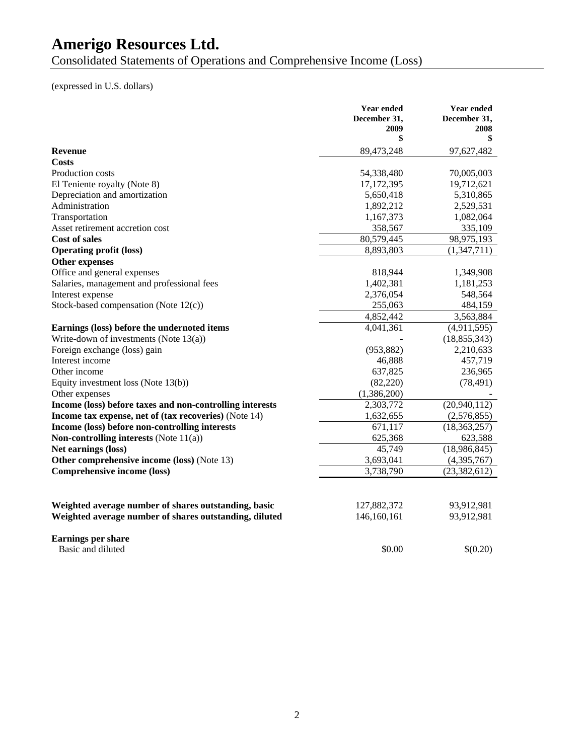Consolidated Statements of Operations and Comprehensive Income (Loss)

(expressed in U.S. dollars)

|                                                          | <b>Year ended</b>    | <b>Year ended</b>    |
|----------------------------------------------------------|----------------------|----------------------|
|                                                          | December 31,<br>2009 | December 31,<br>2008 |
|                                                          | \$                   | \$                   |
| <b>Revenue</b>                                           | 89,473,248           | 97,627,482           |
| Costs                                                    |                      |                      |
| Production costs                                         | 54,338,480           | 70,005,003           |
| El Teniente royalty (Note 8)                             | 17, 172, 395         | 19,712,621           |
| Depreciation and amortization                            | 5,650,418            | 5,310,865            |
| Administration                                           | 1,892,212            | 2,529,531            |
| Transportation                                           | 1,167,373            | 1,082,064            |
| Asset retirement accretion cost                          | 358,567              | 335,109              |
| <b>Cost of sales</b>                                     | 80,579,445           | 98,975,193           |
| <b>Operating profit (loss)</b>                           | 8,893,803            | (1,347,711)          |
| <b>Other expenses</b>                                    |                      |                      |
| Office and general expenses                              | 818,944              | 1,349,908            |
| Salaries, management and professional fees               | 1,402,381            | 1,181,253            |
| Interest expense                                         | 2,376,054            | 548,564              |
| Stock-based compensation (Note 12(c))                    | 255,063              | 484,159              |
|                                                          | 4,852,442            | 3,563,884            |
| Earnings (loss) before the undernoted items              | 4,041,361            | (4,911,595)          |
| Write-down of investments (Note $13(a)$ )                |                      | (18, 855, 343)       |
| Foreign exchange (loss) gain                             | (953, 882)           | 2,210,633            |
| Interest income                                          | 46,888               | 457,719              |
| Other income                                             | 637,825              | 236,965              |
| Equity investment loss (Note $13(b)$ )                   | (82, 220)            | (78, 491)            |
| Other expenses                                           | (1,386,200)          |                      |
| Income (loss) before taxes and non-controlling interests | 2,303,772            | (20,940,112)         |
| Income tax expense, net of (tax recoveries) (Note 14)    | 1,632,655            | (2,576,855)          |
| Income (loss) before non-controlling interests           | 671,117              | (18, 363, 257)       |
| Non-controlling interests (Note 11(a))                   | 625,368              | 623,588              |
| Net earnings (loss)                                      | 45,749               | (18,986,845)         |
| Other comprehensive income (loss) (Note 13)              | 3,693,041            | (4,395,767)          |
| Comprehensive income (loss)                              | 3,738,790            | (23, 382, 612)       |
|                                                          |                      |                      |
| Weighted average number of shares outstanding, basic     | 127,882,372          | 93,912,981           |
| Weighted average number of shares outstanding, diluted   | 146,160,161          | 93,912,981           |
| <b>Earnings per share</b>                                |                      |                      |
| Basic and diluted                                        | \$0.00               | \$(0.20)             |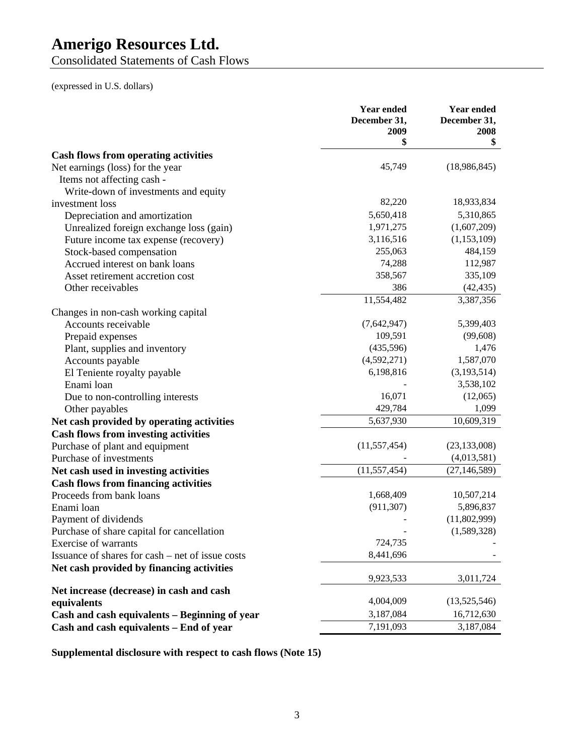Consolidated Statements of Cash Flows

(expressed in U.S. dollars)

|                                                                                 | <b>Year ended</b><br>December 31,<br>2009 | <b>Year ended</b><br>December 31,<br>2008 |
|---------------------------------------------------------------------------------|-------------------------------------------|-------------------------------------------|
|                                                                                 | \$                                        | \$                                        |
| <b>Cash flows from operating activities</b><br>Net earnings (loss) for the year | 45,749                                    | (18,986,845)                              |
| Items not affecting cash -                                                      |                                           |                                           |
| Write-down of investments and equity                                            |                                           |                                           |
| investment loss                                                                 | 82,220                                    | 18,933,834                                |
| Depreciation and amortization                                                   | 5,650,418                                 | 5,310,865                                 |
| Unrealized foreign exchange loss (gain)                                         | 1,971,275                                 | (1,607,209)                               |
| Future income tax expense (recovery)                                            | 3,116,516                                 | (1,153,109)                               |
| Stock-based compensation                                                        | 255,063                                   | 484,159                                   |
| Accrued interest on bank loans                                                  | 74,288                                    | 112,987                                   |
| Asset retirement accretion cost                                                 | 358,567                                   | 335,109                                   |
| Other receivables                                                               | 386                                       | (42, 435)                                 |
|                                                                                 | 11,554,482                                | 3,387,356                                 |
| Changes in non-cash working capital                                             |                                           |                                           |
| Accounts receivable                                                             | (7,642,947)                               | 5,399,403                                 |
| Prepaid expenses                                                                | 109,591                                   | (99, 608)                                 |
| Plant, supplies and inventory                                                   | (435,596)                                 | 1,476                                     |
| Accounts payable                                                                | (4,592,271)                               | 1,587,070                                 |
| El Teniente royalty payable                                                     | 6,198,816                                 | (3,193,514)                               |
| Enami loan                                                                      |                                           | 3,538,102                                 |
| Due to non-controlling interests                                                | 16,071                                    | (12,065)                                  |
| Other payables                                                                  | 429,784                                   | 1,099                                     |
| Net cash provided by operating activities                                       | 5,637,930                                 | 10,609,319                                |
| <b>Cash flows from investing activities</b>                                     |                                           |                                           |
| Purchase of plant and equipment                                                 | (11, 557, 454)                            | (23, 133, 008)                            |
| Purchase of investments                                                         |                                           | (4,013,581)                               |
| Net cash used in investing activities                                           | (11, 557, 454)                            | (27, 146, 589)                            |
| <b>Cash flows from financing activities</b>                                     |                                           |                                           |
| Proceeds from bank loans                                                        | 1,668,409                                 | 10,507,214                                |
| Enami loan                                                                      | (911, 307)                                | 5,896,837                                 |
| Payment of dividends                                                            |                                           | (11,802,999)                              |
| Purchase of share capital for cancellation                                      |                                           | (1,589,328)                               |
| Exercise of warrants                                                            | 724,735                                   |                                           |
| Issuance of shares for cash – net of issue costs                                | 8,441,696                                 |                                           |
| Net cash provided by financing activities                                       |                                           |                                           |
|                                                                                 | 9,923,533                                 | 3,011,724                                 |
| Net increase (decrease) in cash and cash                                        |                                           |                                           |
| equivalents                                                                     | 4,004,009                                 | (13,525,546)                              |
| Cash and cash equivalents - Beginning of year                                   | 3,187,084                                 | 16,712,630                                |
| Cash and cash equivalents - End of year                                         | 7,191,093                                 | 3,187,084                                 |

**Supplemental disclosure with respect to cash flows (Note 15)**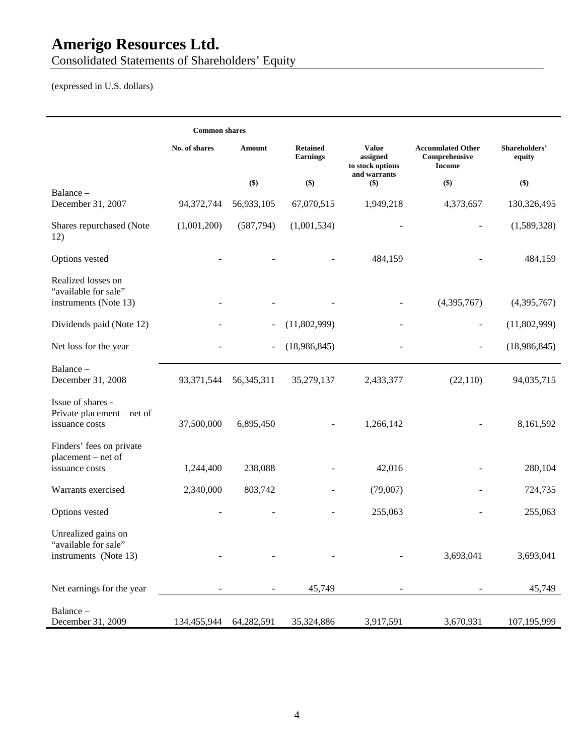Consolidated Statements of Shareholders' Equity

(expressed in U.S. dollars)

|                                                                      | <b>Common shares</b>   |                          |                                    |                                              |                                                            |                         |
|----------------------------------------------------------------------|------------------------|--------------------------|------------------------------------|----------------------------------------------|------------------------------------------------------------|-------------------------|
|                                                                      | No. of shares          | <b>Amount</b>            | <b>Retained</b><br><b>Earnings</b> | <b>Value</b><br>assigned<br>to stock options | <b>Accumulated Other</b><br>Comprehensive<br><b>Income</b> | Shareholders'<br>equity |
|                                                                      |                        | \$)                      | \$)                                | and warrants<br>$(\$)$                       | \$)                                                        | \$)                     |
| Balance-<br>December 31, 2007                                        | 94,372,744             | 56,933,105               | 67,070,515                         | 1,949,218                                    | 4,373,657                                                  | 130,326,495             |
| Shares repurchased (Note<br>12)                                      | (1,001,200)            | (587, 794)               | (1,001,534)                        |                                              |                                                            | (1,589,328)             |
| Options vested                                                       |                        |                          |                                    | 484,159                                      |                                                            | 484,159                 |
| Realized losses on<br>"available for sale"<br>instruments (Note 13)  |                        |                          |                                    |                                              | (4,395,767)                                                | (4,395,767)             |
|                                                                      |                        |                          |                                    |                                              |                                                            |                         |
| Dividends paid (Note 12)                                             |                        | $\overline{\phantom{a}}$ | (11,802,999)                       | $\overline{\phantom{0}}$                     | $\overline{\phantom{a}}$                                   | (11,802,999)            |
| Net loss for the year                                                |                        |                          | (18,986,845)                       |                                              |                                                            | (18,986,845)            |
| Balance -<br>December 31, 2008                                       | 93, 371, 544           | 56, 345, 311             | 35,279,137                         | 2,433,377                                    | (22,110)                                                   | 94,035,715              |
| Issue of shares -<br>Private placement – net of<br>issuance costs    | 37,500,000             | 6,895,450                |                                    | 1,266,142                                    |                                                            | 8,161,592               |
| Finders' fees on private<br>placement – net of<br>issuance costs     | 1,244,400              | 238,088                  |                                    | 42,016                                       |                                                            | 280,104                 |
| Warrants exercised                                                   | 2,340,000              | 803,742                  |                                    | (79,007)                                     |                                                            | 724,735                 |
| Options vested                                                       |                        |                          |                                    | 255,063                                      |                                                            | 255,063                 |
| Unrealized gains on<br>"available for sale"<br>instruments (Note 13) |                        |                          |                                    |                                              | 3,693,041                                                  | 3,693,041               |
| Net earnings for the year                                            |                        |                          | 45,749                             |                                              |                                                            | 45,749                  |
| Balance-<br>December 31, 2009                                        | 134,455,944 64,282,591 |                          | 35,324,886                         | 3,917,591                                    | 3,670,931                                                  | 107,195,999             |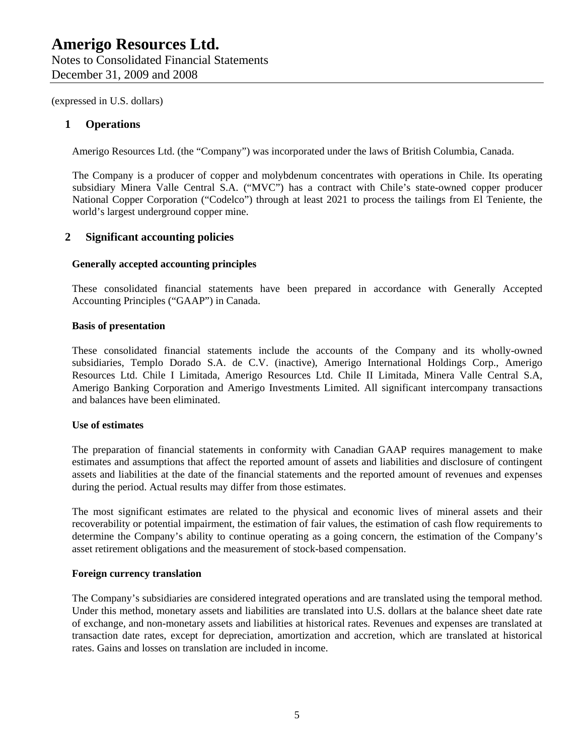## **1 Operations**

Amerigo Resources Ltd. (the "Company") was incorporated under the laws of British Columbia, Canada.

The Company is a producer of copper and molybdenum concentrates with operations in Chile. Its operating subsidiary Minera Valle Central S.A. ("MVC") has a contract with Chile's state-owned copper producer National Copper Corporation ("Codelco") through at least 2021 to process the tailings from El Teniente, the world's largest underground copper mine.

## **2 Significant accounting policies**

#### **Generally accepted accounting principles**

These consolidated financial statements have been prepared in accordance with Generally Accepted Accounting Principles ("GAAP") in Canada.

#### **Basis of presentation**

These consolidated financial statements include the accounts of the Company and its wholly-owned subsidiaries, Templo Dorado S.A. de C.V. (inactive), Amerigo International Holdings Corp., Amerigo Resources Ltd. Chile I Limitada, Amerigo Resources Ltd. Chile II Limitada, Minera Valle Central S.A, Amerigo Banking Corporation and Amerigo Investments Limited. All significant intercompany transactions and balances have been eliminated.

## **Use of estimates**

The preparation of financial statements in conformity with Canadian GAAP requires management to make estimates and assumptions that affect the reported amount of assets and liabilities and disclosure of contingent assets and liabilities at the date of the financial statements and the reported amount of revenues and expenses during the period. Actual results may differ from those estimates.

The most significant estimates are related to the physical and economic lives of mineral assets and their recoverability or potential impairment, the estimation of fair values, the estimation of cash flow requirements to determine the Company's ability to continue operating as a going concern, the estimation of the Company's asset retirement obligations and the measurement of stock-based compensation.

#### **Foreign currency translation**

The Company's subsidiaries are considered integrated operations and are translated using the temporal method. Under this method, monetary assets and liabilities are translated into U.S. dollars at the balance sheet date rate of exchange, and non-monetary assets and liabilities at historical rates. Revenues and expenses are translated at transaction date rates, except for depreciation, amortization and accretion, which are translated at historical rates. Gains and losses on translation are included in income.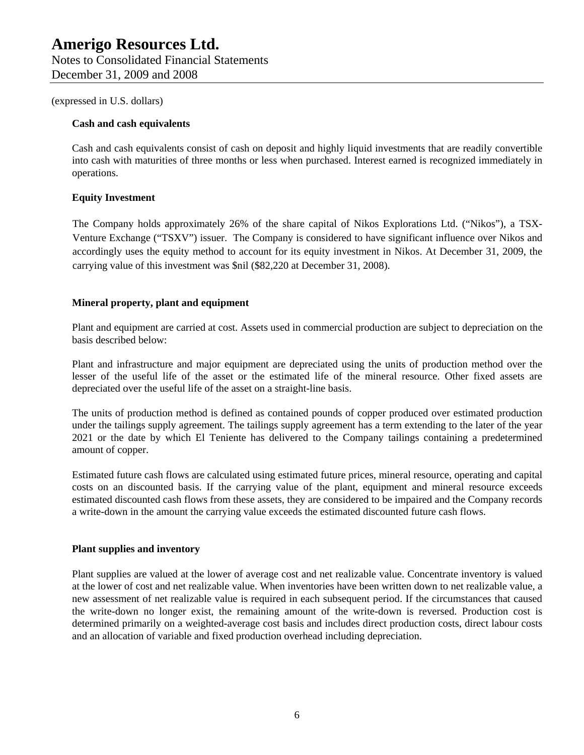December 31, 2009 and 2008

(expressed in U.S. dollars)

## **Cash and cash equivalents**

Cash and cash equivalents consist of cash on deposit and highly liquid investments that are readily convertible into cash with maturities of three months or less when purchased. Interest earned is recognized immediately in operations.

## **Equity Investment**

The Company holds approximately 26% of the share capital of Nikos Explorations Ltd. ("Nikos"), a TSX-Venture Exchange ("TSXV") issuer. The Company is considered to have significant influence over Nikos and accordingly uses the equity method to account for its equity investment in Nikos. At December 31, 2009, the carrying value of this investment was \$nil (\$82,220 at December 31, 2008).

## **Mineral property, plant and equipment**

Plant and equipment are carried at cost. Assets used in commercial production are subject to depreciation on the basis described below:

Plant and infrastructure and major equipment are depreciated using the units of production method over the lesser of the useful life of the asset or the estimated life of the mineral resource. Other fixed assets are depreciated over the useful life of the asset on a straight-line basis.

The units of production method is defined as contained pounds of copper produced over estimated production under the tailings supply agreement. The tailings supply agreement has a term extending to the later of the year 2021 or the date by which El Teniente has delivered to the Company tailings containing a predetermined amount of copper.

Estimated future cash flows are calculated using estimated future prices, mineral resource, operating and capital costs on an discounted basis. If the carrying value of the plant, equipment and mineral resource exceeds estimated discounted cash flows from these assets, they are considered to be impaired and the Company records a write-down in the amount the carrying value exceeds the estimated discounted future cash flows.

## **Plant supplies and inventory**

Plant supplies are valued at the lower of average cost and net realizable value. Concentrate inventory is valued at the lower of cost and net realizable value. When inventories have been written down to net realizable value, a new assessment of net realizable value is required in each subsequent period. If the circumstances that caused the write-down no longer exist, the remaining amount of the write-down is reversed. Production cost is determined primarily on a weighted-average cost basis and includes direct production costs, direct labour costs and an allocation of variable and fixed production overhead including depreciation.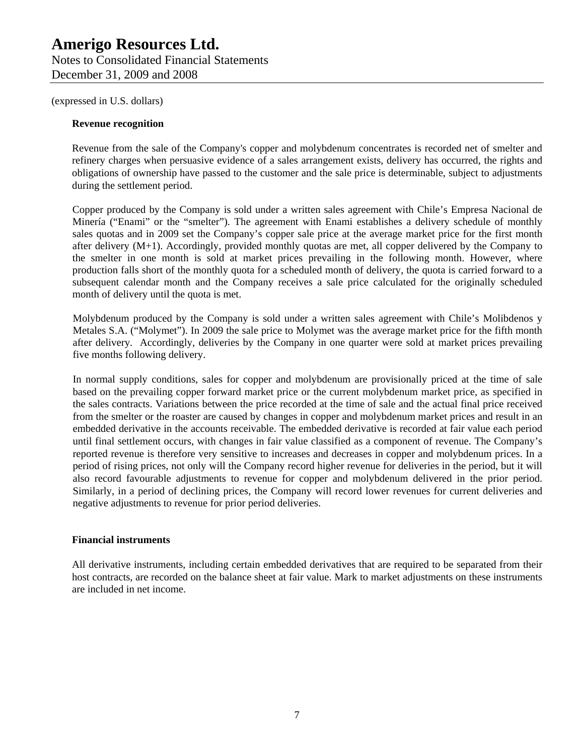## **Amerigo Resources Ltd.**  Notes to Consolidated Financial Statements

December 31, 2009 and 2008

(expressed in U.S. dollars)

## **Revenue recognition**

Revenue from the sale of the Company's copper and molybdenum concentrates is recorded net of smelter and refinery charges when persuasive evidence of a sales arrangement exists, delivery has occurred, the rights and obligations of ownership have passed to the customer and the sale price is determinable, subject to adjustments during the settlement period.

Copper produced by the Company is sold under a written sales agreement with Chile's Empresa Nacional de Minería ("Enami" or the "smelter"). The agreement with Enami establishes a delivery schedule of monthly sales quotas and in 2009 set the Company's copper sale price at the average market price for the first month after delivery (M+1). Accordingly, provided monthly quotas are met, all copper delivered by the Company to the smelter in one month is sold at market prices prevailing in the following month. However, where production falls short of the monthly quota for a scheduled month of delivery, the quota is carried forward to a subsequent calendar month and the Company receives a sale price calculated for the originally scheduled month of delivery until the quota is met.

Molybdenum produced by the Company is sold under a written sales agreement with Chile's Molibdenos y Metales S.A. ("Molymet"). In 2009 the sale price to Molymet was the average market price for the fifth month after delivery. Accordingly, deliveries by the Company in one quarter were sold at market prices prevailing five months following delivery.

In normal supply conditions, sales for copper and molybdenum are provisionally priced at the time of sale based on the prevailing copper forward market price or the current molybdenum market price, as specified in the sales contracts. Variations between the price recorded at the time of sale and the actual final price received from the smelter or the roaster are caused by changes in copper and molybdenum market prices and result in an embedded derivative in the accounts receivable. The embedded derivative is recorded at fair value each period until final settlement occurs, with changes in fair value classified as a component of revenue. The Company's reported revenue is therefore very sensitive to increases and decreases in copper and molybdenum prices. In a period of rising prices, not only will the Company record higher revenue for deliveries in the period, but it will also record favourable adjustments to revenue for copper and molybdenum delivered in the prior period. Similarly, in a period of declining prices, the Company will record lower revenues for current deliveries and negative adjustments to revenue for prior period deliveries.

## **Financial instruments**

All derivative instruments, including certain embedded derivatives that are required to be separated from their host contracts, are recorded on the balance sheet at fair value. Mark to market adjustments on these instruments are included in net income.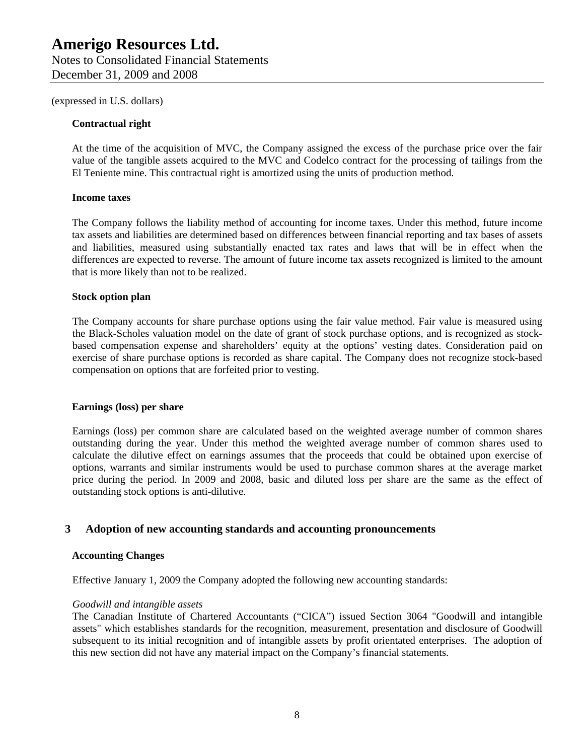#### **Contractual right**

At the time of the acquisition of MVC, the Company assigned the excess of the purchase price over the fair value of the tangible assets acquired to the MVC and Codelco contract for the processing of tailings from the El Teniente mine. This contractual right is amortized using the units of production method.

#### **Income taxes**

The Company follows the liability method of accounting for income taxes. Under this method, future income tax assets and liabilities are determined based on differences between financial reporting and tax bases of assets and liabilities, measured using substantially enacted tax rates and laws that will be in effect when the differences are expected to reverse. The amount of future income tax assets recognized is limited to the amount that is more likely than not to be realized.

#### **Stock option plan**

The Company accounts for share purchase options using the fair value method. Fair value is measured using the Black-Scholes valuation model on the date of grant of stock purchase options, and is recognized as stockbased compensation expense and shareholders' equity at the options' vesting dates. Consideration paid on exercise of share purchase options is recorded as share capital. The Company does not recognize stock-based compensation on options that are forfeited prior to vesting.

#### **Earnings (loss) per share**

Earnings (loss) per common share are calculated based on the weighted average number of common shares outstanding during the year. Under this method the weighted average number of common shares used to calculate the dilutive effect on earnings assumes that the proceeds that could be obtained upon exercise of options, warrants and similar instruments would be used to purchase common shares at the average market price during the period. In 2009 and 2008, basic and diluted loss per share are the same as the effect of outstanding stock options is anti-dilutive.

#### **3 Adoption of new accounting standards and accounting pronouncements**

#### **Accounting Changes**

Effective January 1, 2009 the Company adopted the following new accounting standards:

#### *Goodwill and intangible assets*

The Canadian Institute of Chartered Accountants ("CICA") issued Section 3064 "Goodwill and intangible assets" which establishes standards for the recognition, measurement, presentation and disclosure of Goodwill subsequent to its initial recognition and of intangible assets by profit orientated enterprises. The adoption of this new section did not have any material impact on the Company's financial statements.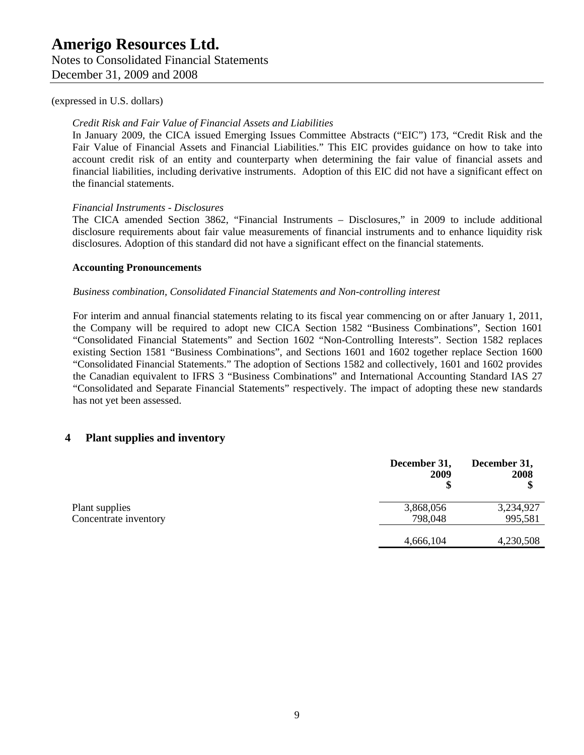Notes to Consolidated Financial Statements December 31, 2009 and 2008

#### (expressed in U.S. dollars)

## *Credit Risk and Fair Value of Financial Assets and Liabilities*

In January 2009, the CICA issued Emerging Issues Committee Abstracts ("EIC") 173, "Credit Risk and the Fair Value of Financial Assets and Financial Liabilities." This EIC provides guidance on how to take into account credit risk of an entity and counterparty when determining the fair value of financial assets and financial liabilities, including derivative instruments. Adoption of this EIC did not have a significant effect on the financial statements.

#### *Financial Instruments - Disclosures*

The CICA amended Section 3862, "Financial Instruments – Disclosures," in 2009 to include additional disclosure requirements about fair value measurements of financial instruments and to enhance liquidity risk disclosures. Adoption of this standard did not have a significant effect on the financial statements.

#### **Accounting Pronouncements**

#### *Business combination, Consolidated Financial Statements and Non-controlling interest*

For interim and annual financial statements relating to its fiscal year commencing on or after January 1, 2011, the Company will be required to adopt new CICA Section 1582 "Business Combinations", Section 1601 "Consolidated Financial Statements" and Section 1602 "Non-Controlling Interests". Section 1582 replaces existing Section 1581 "Business Combinations", and Sections 1601 and 1602 together replace Section 1600 "Consolidated Financial Statements." The adoption of Sections 1582 and collectively, 1601 and 1602 provides the Canadian equivalent to IFRS 3 "Business Combinations" and International Accounting Standard IAS 27 "Consolidated and Separate Financial Statements" respectively. The impact of adopting these new standards has not yet been assessed.

## **4 Plant supplies and inventory**

|                       | December 31,<br>2009 | December 31,<br>2008<br>\$ |
|-----------------------|----------------------|----------------------------|
| Plant supplies        | 3,868,056            | 3,234,927                  |
| Concentrate inventory | 798,048              | 995,581                    |
|                       | 4,666,104            | 4,230,508                  |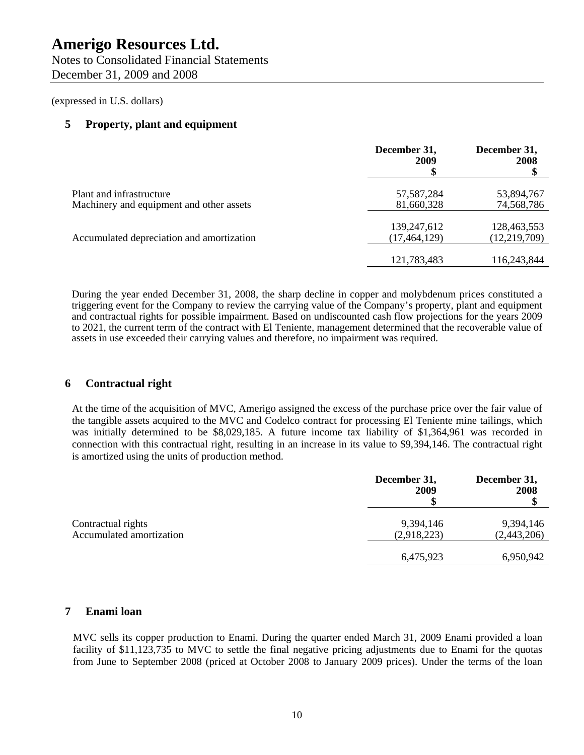Notes to Consolidated Financial Statements December 31, 2009 and 2008

(expressed in U.S. dollars)

## **5 Property, plant and equipment**

|                                                                      | December 31,<br>2009          | December 31,<br>2008<br>\$    |
|----------------------------------------------------------------------|-------------------------------|-------------------------------|
| Plant and infrastructure<br>Machinery and equipment and other assets | 57, 587, 284<br>81,660,328    | 53,894,767<br>74,568,786      |
| Accumulated depreciation and amortization                            | 139,247,612<br>(17, 464, 129) | 128,463,553<br>(12, 219, 709) |
|                                                                      | 121,783,483                   | 116,243,844                   |

During the year ended December 31, 2008, the sharp decline in copper and molybdenum prices constituted a triggering event for the Company to review the carrying value of the Company's property, plant and equipment and contractual rights for possible impairment. Based on undiscounted cash flow projections for the years 2009 to 2021, the current term of the contract with El Teniente, management determined that the recoverable value of assets in use exceeded their carrying values and therefore, no impairment was required.

## **6 Contractual right**

At the time of the acquisition of MVC, Amerigo assigned the excess of the purchase price over the fair value of the tangible assets acquired to the MVC and Codelco contract for processing El Teniente mine tailings, which was initially determined to be \$8,029,185. A future income tax liability of \$1,364,961 was recorded in connection with this contractual right, resulting in an increase in its value to \$9,394,146. The contractual right is amortized using the units of production method.

|                                                | December 31,<br>2009     | December 31,<br>2008     |
|------------------------------------------------|--------------------------|--------------------------|
| Contractual rights<br>Accumulated amortization | 9,394,146<br>(2,918,223) | 9,394,146<br>(2,443,206) |
|                                                | 6,475,923                | 6,950,942                |

## **7 Enami loan**

MVC sells its copper production to Enami. During the quarter ended March 31, 2009 Enami provided a loan facility of \$11,123,735 to MVC to settle the final negative pricing adjustments due to Enami for the quotas from June to September 2008 (priced at October 2008 to January 2009 prices). Under the terms of the loan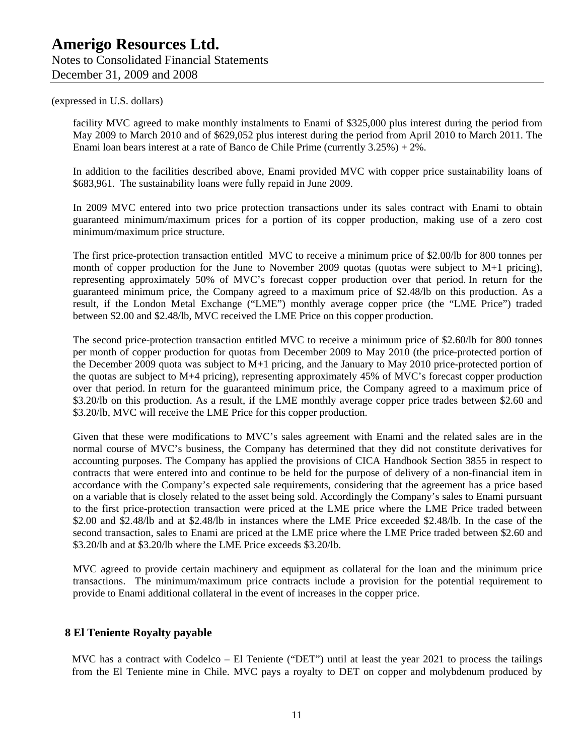facility MVC agreed to make monthly instalments to Enami of \$325,000 plus interest during the period from May 2009 to March 2010 and of \$629,052 plus interest during the period from April 2010 to March 2011. The Enami loan bears interest at a rate of Banco de Chile Prime (currently 3.25%) + 2%.

In addition to the facilities described above, Enami provided MVC with copper price sustainability loans of \$683,961. The sustainability loans were fully repaid in June 2009.

In 2009 MVC entered into two price protection transactions under its sales contract with Enami to obtain guaranteed minimum/maximum prices for a portion of its copper production, making use of a zero cost minimum/maximum price structure.

The first price-protection transaction entitled MVC to receive a minimum price of \$2.00/lb for 800 tonnes per month of copper production for the June to November 2009 quotas (quotas were subject to M+1 pricing), representing approximately 50% of MVC's forecast copper production over that period. In return for the guaranteed minimum price, the Company agreed to a maximum price of \$2.48/lb on this production. As a result, if the London Metal Exchange ("LME") monthly average copper price (the "LME Price") traded between \$2.00 and \$2.48/lb, MVC received the LME Price on this copper production.

The second price-protection transaction entitled MVC to receive a minimum price of \$2.60/lb for 800 tonnes per month of copper production for quotas from December 2009 to May 2010 (the price-protected portion of the December 2009 quota was subject to M+1 pricing, and the January to May 2010 price-protected portion of the quotas are subject to M+4 pricing), representing approximately 45% of MVC's forecast copper production over that period. In return for the guaranteed minimum price, the Company agreed to a maximum price of \$3.20/lb on this production. As a result, if the LME monthly average copper price trades between \$2.60 and \$3.20/lb, MVC will receive the LME Price for this copper production.

Given that these were modifications to MVC's sales agreement with Enami and the related sales are in the normal course of MVC's business, the Company has determined that they did not constitute derivatives for accounting purposes. The Company has applied the provisions of CICA Handbook Section 3855 in respect to contracts that were entered into and continue to be held for the purpose of delivery of a non-financial item in accordance with the Company's expected sale requirements, considering that the agreement has a price based on a variable that is closely related to the asset being sold. Accordingly the Company's sales to Enami pursuant to the first price-protection transaction were priced at the LME price where the LME Price traded between \$2.00 and \$2.48/lb and at \$2.48/lb in instances where the LME Price exceeded \$2.48/lb. In the case of the second transaction, sales to Enami are priced at the LME price where the LME Price traded between \$2.60 and \$3.20/lb and at \$3.20/lb where the LME Price exceeds \$3.20/lb.

MVC agreed to provide certain machinery and equipment as collateral for the loan and the minimum price transactions. The minimum/maximum price contracts include a provision for the potential requirement to provide to Enami additional collateral in the event of increases in the copper price.

## **8 El Teniente Royalty payable**

MVC has a contract with Codelco – El Teniente ("DET") until at least the year 2021 to process the tailings from the El Teniente mine in Chile. MVC pays a royalty to DET on copper and molybdenum produced by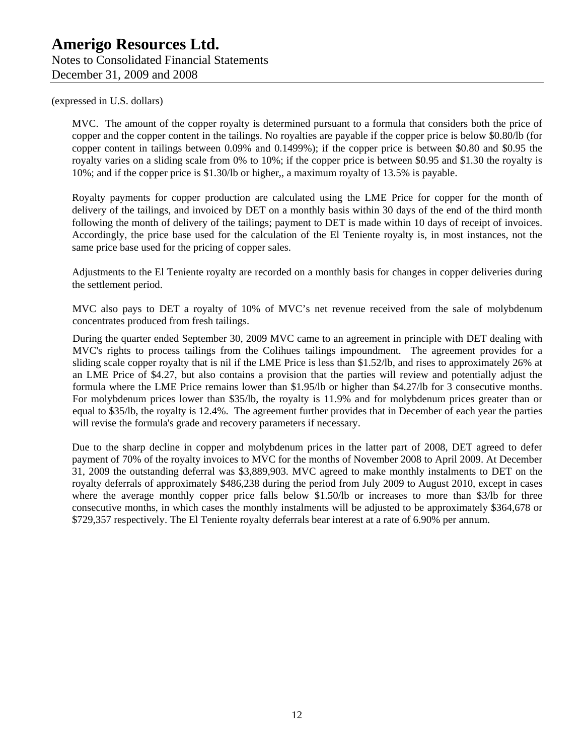MVC. The amount of the copper royalty is determined pursuant to a formula that considers both the price of copper and the copper content in the tailings. No royalties are payable if the copper price is below \$0.80/lb (for copper content in tailings between 0.09% and 0.1499%); if the copper price is between \$0.80 and \$0.95 the royalty varies on a sliding scale from 0% to 10%; if the copper price is between \$0.95 and \$1.30 the royalty is 10%; and if the copper price is \$1.30/lb or higher,, a maximum royalty of 13.5% is payable.

Royalty payments for copper production are calculated using the LME Price for copper for the month of delivery of the tailings, and invoiced by DET on a monthly basis within 30 days of the end of the third month following the month of delivery of the tailings; payment to DET is made within 10 days of receipt of invoices. Accordingly, the price base used for the calculation of the El Teniente royalty is, in most instances, not the same price base used for the pricing of copper sales.

Adjustments to the El Teniente royalty are recorded on a monthly basis for changes in copper deliveries during the settlement period.

MVC also pays to DET a royalty of 10% of MVC's net revenue received from the sale of molybdenum concentrates produced from fresh tailings.

During the quarter ended September 30, 2009 MVC came to an agreement in principle with DET dealing with MVC's rights to process tailings from the Colihues tailings impoundment. The agreement provides for a sliding scale copper royalty that is nil if the LME Price is less than \$1.52/lb, and rises to approximately 26% at an LME Price of \$4.27, but also contains a provision that the parties will review and potentially adjust the formula where the LME Price remains lower than \$1.95/lb or higher than \$4.27/lb for 3 consecutive months. For molybdenum prices lower than \$35/lb, the royalty is 11.9% and for molybdenum prices greater than or equal to \$35/lb, the royalty is 12.4%. The agreement further provides that in December of each year the parties will revise the formula's grade and recovery parameters if necessary.

Due to the sharp decline in copper and molybdenum prices in the latter part of 2008, DET agreed to defer payment of 70% of the royalty invoices to MVC for the months of November 2008 to April 2009. At December 31, 2009 the outstanding deferral was \$3,889,903. MVC agreed to make monthly instalments to DET on the royalty deferrals of approximately \$486,238 during the period from July 2009 to August 2010, except in cases where the average monthly copper price falls below \$1.50/lb or increases to more than \$3/lb for three consecutive months, in which cases the monthly instalments will be adjusted to be approximately \$364,678 or \$729,357 respectively. The El Teniente royalty deferrals bear interest at a rate of 6.90% per annum.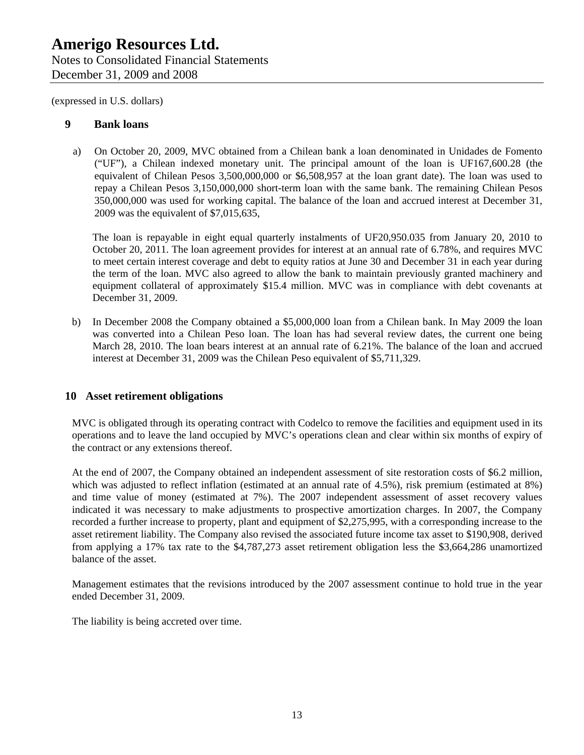## **9 Bank loans**

a) On October 20, 2009, MVC obtained from a Chilean bank a loan denominated in Unidades de Fomento ("UF"), a Chilean indexed monetary unit. The principal amount of the loan is UF167,600.28 (the equivalent of Chilean Pesos 3,500,000,000 or \$6,508,957 at the loan grant date). The loan was used to repay a Chilean Pesos 3,150,000,000 short-term loan with the same bank. The remaining Chilean Pesos 350,000,000 was used for working capital. The balance of the loan and accrued interest at December 31, 2009 was the equivalent of \$7,015,635,

The loan is repayable in eight equal quarterly instalments of UF20,950.035 from January 20, 2010 to October 20, 2011. The loan agreement provides for interest at an annual rate of 6.78%, and requires MVC to meet certain interest coverage and debt to equity ratios at June 30 and December 31 in each year during the term of the loan. MVC also agreed to allow the bank to maintain previously granted machinery and equipment collateral of approximately \$15.4 million. MVC was in compliance with debt covenants at December 31, 2009.

b) In December 2008 the Company obtained a \$5,000,000 loan from a Chilean bank. In May 2009 the loan was converted into a Chilean Peso loan. The loan has had several review dates, the current one being March 28, 2010. The loan bears interest at an annual rate of 6.21%. The balance of the loan and accrued interest at December 31, 2009 was the Chilean Peso equivalent of \$5,711,329.

## **10 Asset retirement obligations**

MVC is obligated through its operating contract with Codelco to remove the facilities and equipment used in its operations and to leave the land occupied by MVC's operations clean and clear within six months of expiry of the contract or any extensions thereof.

At the end of 2007, the Company obtained an independent assessment of site restoration costs of \$6.2 million, which was adjusted to reflect inflation (estimated at an annual rate of 4.5%), risk premium (estimated at 8%) and time value of money (estimated at 7%). The 2007 independent assessment of asset recovery values indicated it was necessary to make adjustments to prospective amortization charges. In 2007, the Company recorded a further increase to property, plant and equipment of \$2,275,995, with a corresponding increase to the asset retirement liability. The Company also revised the associated future income tax asset to \$190,908, derived from applying a 17% tax rate to the \$4,787,273 asset retirement obligation less the \$3,664,286 unamortized balance of the asset.

Management estimates that the revisions introduced by the 2007 assessment continue to hold true in the year ended December 31, 2009.

The liability is being accreted over time.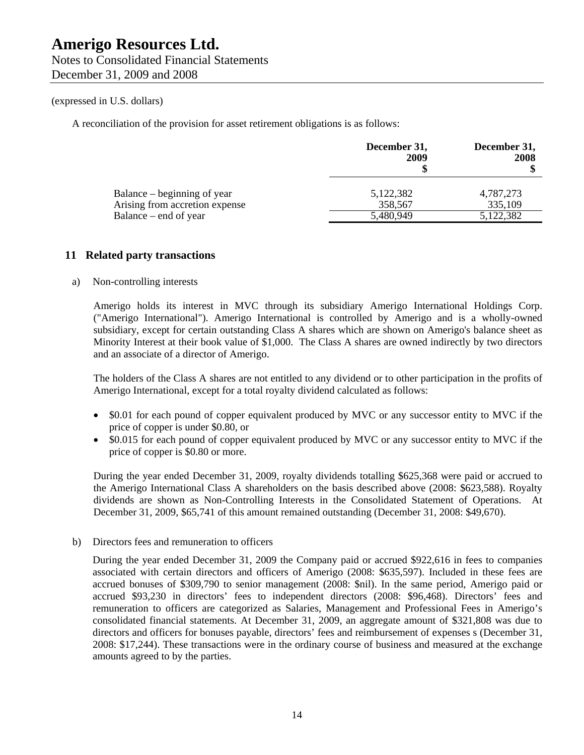A reconciliation of the provision for asset retirement obligations is as follows:

|                                                               | December 31,<br>2009 | December 31,<br>2008 |
|---------------------------------------------------------------|----------------------|----------------------|
| Balance – beginning of year<br>Arising from accretion expense | 5,122,382<br>358,567 | 4,787,273<br>335,109 |
| Balance – end of year                                         | 5,480,949            | 5,122,382            |

## **11 Related party transactions**

#### a) Non-controlling interests

Amerigo holds its interest in MVC through its subsidiary Amerigo International Holdings Corp. ("Amerigo International"). Amerigo International is controlled by Amerigo and is a wholly-owned subsidiary, except for certain outstanding Class A shares which are shown on Amerigo's balance sheet as Minority Interest at their book value of \$1,000. The Class A shares are owned indirectly by two directors and an associate of a director of Amerigo.

The holders of the Class A shares are not entitled to any dividend or to other participation in the profits of Amerigo International, except for a total royalty dividend calculated as follows:

- \$0.01 for each pound of copper equivalent produced by MVC or any successor entity to MVC if the price of copper is under \$0.80, or
- \$0.015 for each pound of copper equivalent produced by MVC or any successor entity to MVC if the price of copper is \$0.80 or more.

During the year ended December 31, 2009, royalty dividends totalling \$625,368 were paid or accrued to the Amerigo International Class A shareholders on the basis described above (2008: \$623,588). Royalty dividends are shown as Non-Controlling Interests in the Consolidated Statement of Operations. At December 31, 2009, \$65,741 of this amount remained outstanding (December 31, 2008: \$49,670).

b) Directors fees and remuneration to officers

During the year ended December 31, 2009 the Company paid or accrued \$922,616 in fees to companies associated with certain directors and officers of Amerigo (2008: \$635,597). Included in these fees are accrued bonuses of \$309,790 to senior management (2008: \$nil). In the same period, Amerigo paid or accrued \$93,230 in directors' fees to independent directors (2008: \$96,468). Directors' fees and remuneration to officers are categorized as Salaries, Management and Professional Fees in Amerigo's consolidated financial statements. At December 31, 2009, an aggregate amount of \$321,808 was due to directors and officers for bonuses payable, directors' fees and reimbursement of expenses s (December 31, 2008: \$17,244). These transactions were in the ordinary course of business and measured at the exchange amounts agreed to by the parties.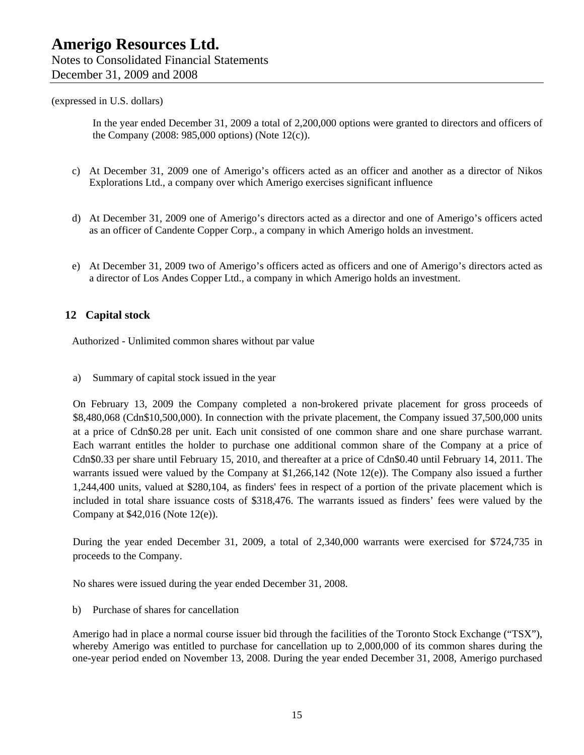In the year ended December 31, 2009 a total of 2,200,000 options were granted to directors and officers of the Company (2008: 985,000 options) (Note 12(c)).

- c) At December 31, 2009 one of Amerigo's officers acted as an officer and another as a director of Nikos Explorations Ltd., a company over which Amerigo exercises significant influence
- d) At December 31, 2009 one of Amerigo's directors acted as a director and one of Amerigo's officers acted as an officer of Candente Copper Corp., a company in which Amerigo holds an investment.
- e) At December 31, 2009 two of Amerigo's officers acted as officers and one of Amerigo's directors acted as a director of Los Andes Copper Ltd., a company in which Amerigo holds an investment.

## **12 Capital stock**

Authorized - Unlimited common shares without par value

a) Summary of capital stock issued in the year

On February 13, 2009 the Company completed a non-brokered private placement for gross proceeds of \$8,480,068 (Cdn\$10,500,000). In connection with the private placement, the Company issued 37,500,000 units at a price of Cdn\$0.28 per unit. Each unit consisted of one common share and one share purchase warrant. Each warrant entitles the holder to purchase one additional common share of the Company at a price of Cdn\$0.33 per share until February 15, 2010, and thereafter at a price of Cdn\$0.40 until February 14, 2011. The warrants issued were valued by the Company at \$1,266,142 (Note 12(e)). The Company also issued a further 1,244,400 units, valued at \$280,104, as finders' fees in respect of a portion of the private placement which is included in total share issuance costs of \$318,476. The warrants issued as finders' fees were valued by the Company at \$42,016 (Note 12(e)).

During the year ended December 31, 2009, a total of 2,340,000 warrants were exercised for \$724,735 in proceeds to the Company.

No shares were issued during the year ended December 31, 2008.

b) Purchase of shares for cancellation

Amerigo had in place a normal course issuer bid through the facilities of the Toronto Stock Exchange ("TSX"), whereby Amerigo was entitled to purchase for cancellation up to 2,000,000 of its common shares during the one-year period ended on November 13, 2008. During the year ended December 31, 2008, Amerigo purchased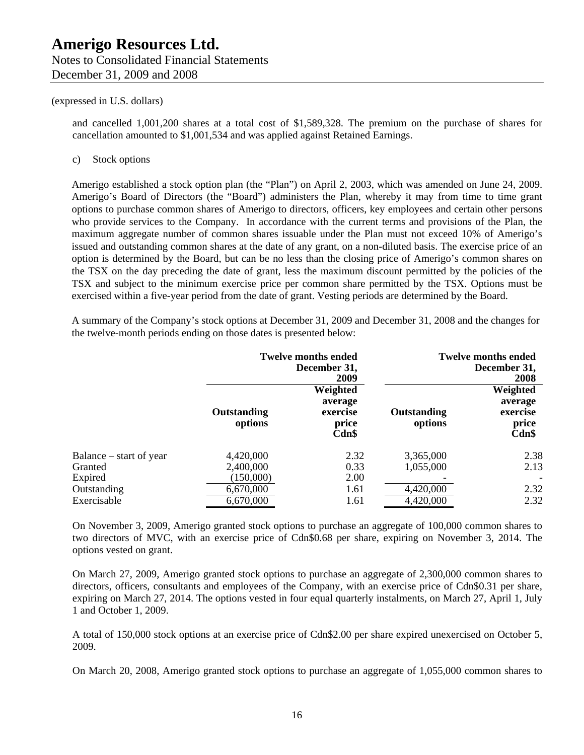and cancelled 1,001,200 shares at a total cost of \$1,589,328. The premium on the purchase of shares for cancellation amounted to \$1,001,534 and was applied against Retained Earnings.

#### c) Stock options

Amerigo established a stock option plan (the "Plan") on April 2, 2003, which was amended on June 24, 2009. Amerigo's Board of Directors (the "Board") administers the Plan, whereby it may from time to time grant options to purchase common shares of Amerigo to directors, officers, key employees and certain other persons who provide services to the Company. In accordance with the current terms and provisions of the Plan, the maximum aggregate number of common shares issuable under the Plan must not exceed 10% of Amerigo's issued and outstanding common shares at the date of any grant, on a non-diluted basis. The exercise price of an option is determined by the Board, but can be no less than the closing price of Amerigo's common shares on the TSX on the day preceding the date of grant, less the maximum discount permitted by the policies of the TSX and subject to the minimum exercise price per common share permitted by the TSX. Options must be exercised within a five-year period from the date of grant. Vesting periods are determined by the Board.

A summary of the Company's stock options at December 31, 2009 and December 31, 2008 and the changes for the twelve-month periods ending on those dates is presented below:

|                                               | <b>Twelve months ended</b><br>December 31,<br>2009 |                                                      |                        | <b>Twelve months ended</b><br>December 31,<br>2008 |
|-----------------------------------------------|----------------------------------------------------|------------------------------------------------------|------------------------|----------------------------------------------------|
|                                               | <b>Outstanding</b><br>options                      | Weighted<br>average<br>exercise<br>price<br>$Cdn$ \$ | Outstanding<br>options | Weighted<br>average<br>exercise<br>price<br>Cdn\$  |
| Balance – start of year<br>Granted<br>Expired | 4,420,000<br>2,400,000<br>(150,000)                | 2.32<br>0.33<br>2.00                                 | 3,365,000<br>1,055,000 | 2.38<br>2.13                                       |
| Outstanding<br>Exercisable                    | 6,670,000<br>6,670,000                             | 1.61<br>1.61                                         | 4,420,000<br>4,420,000 | 2.32<br>2.32                                       |

On November 3, 2009, Amerigo granted stock options to purchase an aggregate of 100,000 common shares to two directors of MVC, with an exercise price of Cdn\$0.68 per share, expiring on November 3, 2014. The options vested on grant.

On March 27, 2009, Amerigo granted stock options to purchase an aggregate of 2,300,000 common shares to directors, officers, consultants and employees of the Company, with an exercise price of Cdn\$0.31 per share, expiring on March 27, 2014. The options vested in four equal quarterly instalments, on March 27, April 1, July 1 and October 1, 2009.

A total of 150,000 stock options at an exercise price of Cdn\$2.00 per share expired unexercised on October 5, 2009.

On March 20, 2008, Amerigo granted stock options to purchase an aggregate of 1,055,000 common shares to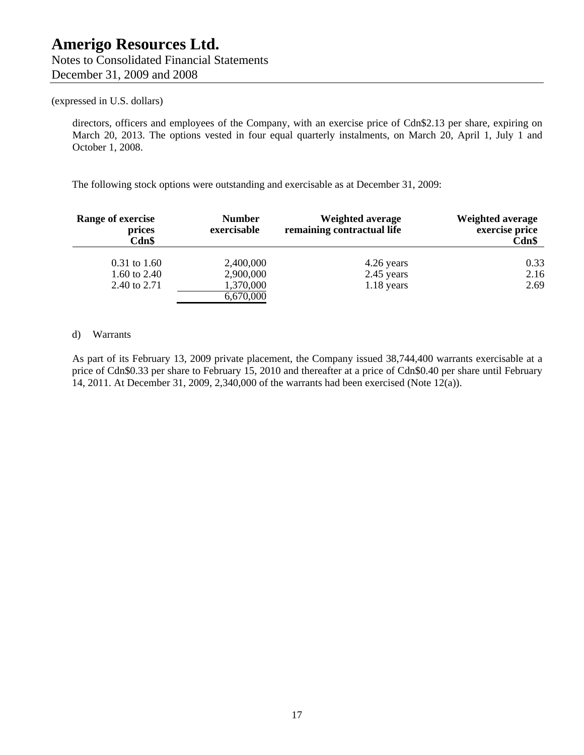directors, officers and employees of the Company, with an exercise price of Cdn\$2.13 per share, expiring on March 20, 2013. The options vested in four equal quarterly instalments, on March 20, April 1, July 1 and October 1, 2008.

The following stock options were outstanding and exercisable as at December 31, 2009:

| Range of exercise<br>prices<br>Cdn\$ | <b>Number</b><br>exercisable | Weighted average<br>remaining contractual life | <b>Weighted average</b><br>exercise price<br>Cdn\$ |
|--------------------------------------|------------------------------|------------------------------------------------|----------------------------------------------------|
| $0.31$ to 1.60                       | 2,400,000                    | 4.26 years                                     | 0.33                                               |
| 1.60 to 2.40                         | 2,900,000                    | 2.45 years                                     | 2.16                                               |
| 2.40 to 2.71                         | 1,370,000                    | $1.18$ years                                   | 2.69                                               |
|                                      | 6,670,000                    |                                                |                                                    |

#### d) Warrants

As part of its February 13, 2009 private placement, the Company issued 38,744,400 warrants exercisable at a price of Cdn\$0.33 per share to February 15, 2010 and thereafter at a price of Cdn\$0.40 per share until February 14, 2011. At December 31, 2009, 2,340,000 of the warrants had been exercised (Note 12(a)).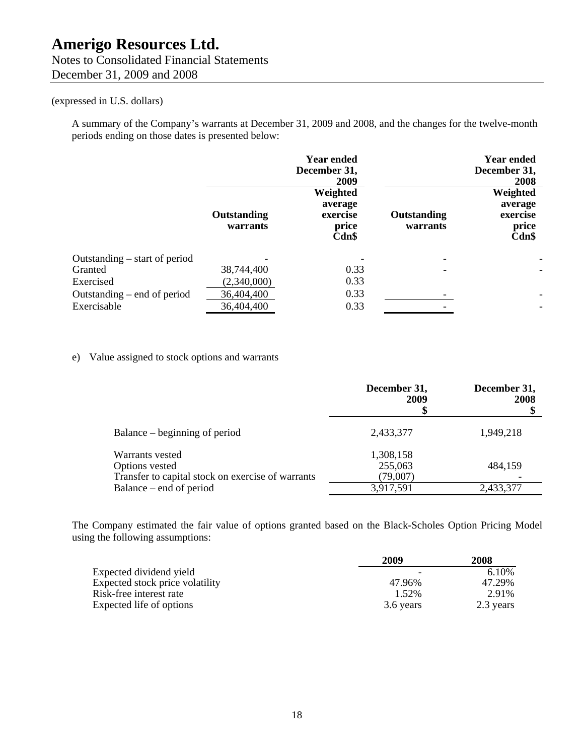## Notes to Consolidated Financial Statements December 31, 2009 and 2008

## (expressed in U.S. dollars)

A summary of the Company's warrants at December 31, 2009 and 2008, and the changes for the twelve-month periods ending on those dates is presented below:

|                                 |                                | <b>Year ended</b><br>December 31,<br>2009         |                         | <b>Year ended</b><br>December 31,<br>2008            |
|---------------------------------|--------------------------------|---------------------------------------------------|-------------------------|------------------------------------------------------|
|                                 | <b>Outstanding</b><br>warrants | Weighted<br>average<br>exercise<br>price<br>Cdn\$ | Outstanding<br>warrants | Weighted<br>average<br>exercise<br>price<br>$Cdn$ \$ |
| Outstanding $-$ start of period |                                |                                                   |                         |                                                      |
| Granted                         | 38,744,400                     | 0.33                                              |                         | $\overline{a}$                                       |
| Exercised                       | (2,340,000)                    | 0.33                                              |                         |                                                      |
| Outstanding $-$ end of period   | 36,404,400                     | 0.33                                              |                         | $\overline{\phantom{0}}$                             |
| Exercisable                     | 36,404,400                     | 0.33                                              |                         | $\overline{\phantom{0}}$                             |

## e) Value assigned to stock options and warrants

|                                                   | December 31,<br>2009 | December 31,<br>2008 |
|---------------------------------------------------|----------------------|----------------------|
| Balance – beginning of period                     | 2,433,377            | 1,949,218            |
| Warrants vested                                   | 1,308,158            |                      |
| Options vested                                    | 255,063              | 484,159              |
| Transfer to capital stock on exercise of warrants | (79,007)             |                      |
| Balance – end of period                           | 3,917,591            | 2,433,377            |

The Company estimated the fair value of options granted based on the Black-Scholes Option Pricing Model using the following assumptions:

|                                 | 2009      | 2008      |
|---------------------------------|-----------|-----------|
| Expected dividend yield         |           | 6.10%     |
| Expected stock price volatility | 47.96%    | 47.29%    |
| Risk-free interest rate         | 1.52%     | 2.91%     |
| Expected life of options        | 3.6 years | 2.3 years |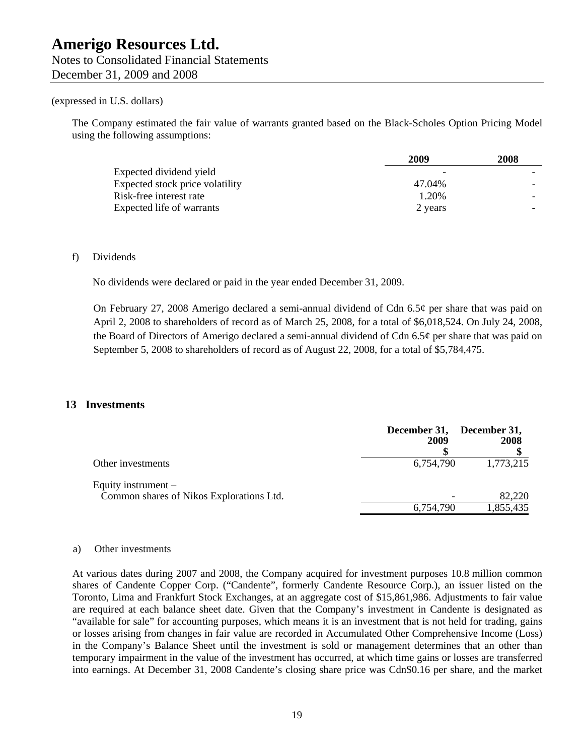The Company estimated the fair value of warrants granted based on the Black-Scholes Option Pricing Model using the following assumptions:

|                                 | 2009    | 2008 |
|---------------------------------|---------|------|
| Expected dividend yield         |         |      |
| Expected stock price volatility | 47.04%  |      |
| Risk-free interest rate         | 1.20%   |      |
| Expected life of warrants       | 2 years |      |

#### f) Dividends

No dividends were declared or paid in the year ended December 31, 2009.

On February 27, 2008 Amerigo declared a semi-annual dividend of Cdn 6.5¢ per share that was paid on April 2, 2008 to shareholders of record as of March 25, 2008, for a total of \$6,018,524. On July 24, 2008, the Board of Directors of Amerigo declared a semi-annual dividend of Cdn 6.5 $\varphi$  per share that was paid on September 5, 2008 to shareholders of record as of August 22, 2008, for a total of \$5,784,475.

## **13 Investments**

|                                                                   | December 31, December 31,<br>2009 | 2008      |
|-------------------------------------------------------------------|-----------------------------------|-----------|
| Other investments                                                 | 6,754,790                         | 1,773,215 |
| Equity instrument $-$<br>Common shares of Nikos Explorations Ltd. |                                   | 82,220    |
|                                                                   | 6,754,790                         | 1,855,435 |

#### a) Other investments

At various dates during 2007 and 2008, the Company acquired for investment purposes 10.8 million common shares of Candente Copper Corp. ("Candente", formerly Candente Resource Corp.), an issuer listed on the Toronto, Lima and Frankfurt Stock Exchanges, at an aggregate cost of \$15,861,986. Adjustments to fair value are required at each balance sheet date. Given that the Company's investment in Candente is designated as "available for sale" for accounting purposes, which means it is an investment that is not held for trading, gains or losses arising from changes in fair value are recorded in Accumulated Other Comprehensive Income (Loss) in the Company's Balance Sheet until the investment is sold or management determines that an other than temporary impairment in the value of the investment has occurred, at which time gains or losses are transferred into earnings. At December 31, 2008 Candente's closing share price was Cdn\$0.16 per share, and the market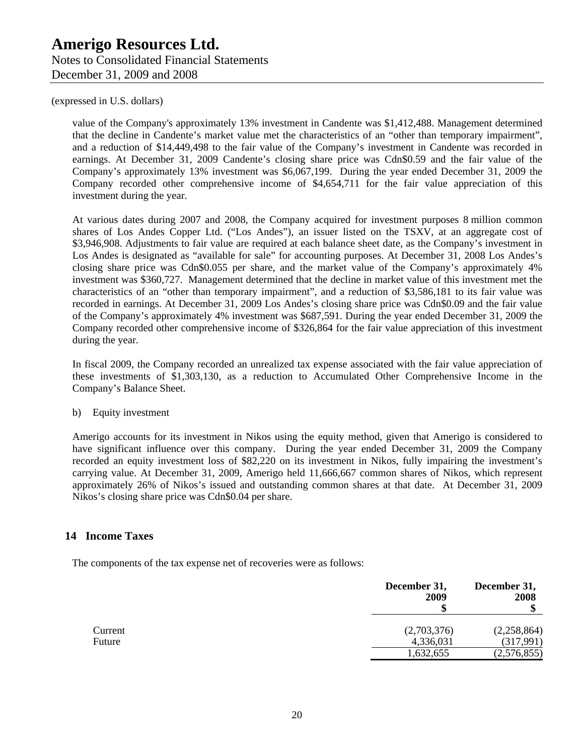value of the Company's approximately 13% investment in Candente was \$1,412,488. Management determined that the decline in Candente's market value met the characteristics of an "other than temporary impairment", and a reduction of \$14,449,498 to the fair value of the Company's investment in Candente was recorded in earnings. At December 31, 2009 Candente's closing share price was Cdn\$0.59 and the fair value of the Company's approximately 13% investment was \$6,067,199. During the year ended December 31, 2009 the Company recorded other comprehensive income of \$4,654,711 for the fair value appreciation of this investment during the year.

At various dates during 2007 and 2008, the Company acquired for investment purposes 8 million common shares of Los Andes Copper Ltd. ("Los Andes"), an issuer listed on the TSXV, at an aggregate cost of \$3,946,908. Adjustments to fair value are required at each balance sheet date, as the Company's investment in Los Andes is designated as "available for sale" for accounting purposes. At December 31, 2008 Los Andes's closing share price was Cdn\$0.055 per share, and the market value of the Company's approximately 4% investment was \$360,727. Management determined that the decline in market value of this investment met the characteristics of an "other than temporary impairment", and a reduction of \$3,586,181 to its fair value was recorded in earnings. At December 31, 2009 Los Andes's closing share price was Cdn\$0.09 and the fair value of the Company's approximately 4% investment was \$687,591. During the year ended December 31, 2009 the Company recorded other comprehensive income of \$326,864 for the fair value appreciation of this investment during the year.

In fiscal 2009, the Company recorded an unrealized tax expense associated with the fair value appreciation of these investments of \$1,303,130, as a reduction to Accumulated Other Comprehensive Income in the Company's Balance Sheet.

#### b) Equity investment

Amerigo accounts for its investment in Nikos using the equity method, given that Amerigo is considered to have significant influence over this company. During the year ended December 31, 2009 the Company recorded an equity investment loss of \$82,220 on its investment in Nikos, fully impairing the investment's carrying value. At December 31, 2009, Amerigo held 11,666,667 common shares of Nikos, which represent approximately 26% of Nikos's issued and outstanding common shares at that date. At December 31, 2009 Nikos's closing share price was Cdn\$0.04 per share.

## **14 Income Taxes**

The components of the tax expense net of recoveries were as follows:

|                   | December 31,<br>2009     | December 31,<br>2008     |  |
|-------------------|--------------------------|--------------------------|--|
| Current<br>Future | (2,703,376)<br>4,336,031 | (2,258,864)<br>(317,991) |  |
|                   | 1,632,655                | (2,576,855)              |  |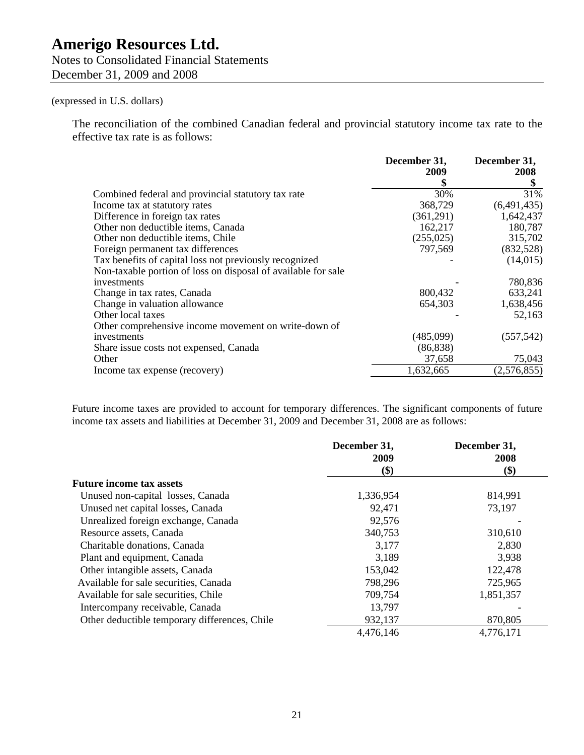Notes to Consolidated Financial Statements December 31, 2009 and 2008

## (expressed in U.S. dollars)

The reconciliation of the combined Canadian federal and provincial statutory income tax rate to the effective tax rate is as follows:

|                                                               | December 31,<br>2009 | December 31,<br>2008 |
|---------------------------------------------------------------|----------------------|----------------------|
|                                                               | \$                   |                      |
| Combined federal and provincial statutory tax rate            | 30%                  | 31%                  |
| Income tax at statutory rates                                 | 368,729              | (6,491,435)          |
| Difference in foreign tax rates                               | (361,291)            | 1,642,437            |
| Other non deductible items, Canada                            | 162,217              | 180,787              |
| Other non deductible items, Chile                             | (255, 025)           | 315,702              |
| Foreign permanent tax differences                             | 797,569              | (832,528)            |
| Tax benefits of capital loss not previously recognized        |                      | (14,015)             |
| Non-taxable portion of loss on disposal of available for sale |                      |                      |
| investments                                                   |                      | 780,836              |
| Change in tax rates, Canada                                   | 800,432              | 633,241              |
| Change in valuation allowance                                 | 654,303              | 1,638,456            |
| Other local taxes                                             |                      | 52,163               |
| Other comprehensive income movement on write-down of          |                      |                      |
| investments                                                   | (485,099)            | (557, 542)           |
| Share issue costs not expensed, Canada                        | (86, 838)            |                      |
| Other                                                         | 37,658               | 75,043               |
| Income tax expense (recovery)                                 | 1,632,665            | (2,576,855)          |

Future income taxes are provided to account for temporary differences. The significant components of future income tax assets and liabilities at December 31, 2009 and December 31, 2008 are as follows:

|                                               | December 31,<br>2009 | December 31,<br>2008      |
|-----------------------------------------------|----------------------|---------------------------|
|                                               | \$)                  | $\left( \text{\$}\right)$ |
| <b>Future income tax assets</b>               |                      |                           |
| Unused non-capital losses, Canada             | 1,336,954            | 814,991                   |
| Unused net capital losses, Canada             | 92,471               | 73,197                    |
| Unrealized foreign exchange, Canada           | 92,576               |                           |
| Resource assets, Canada                       | 340,753              | 310,610                   |
| Charitable donations, Canada                  | 3,177                | 2,830                     |
| Plant and equipment, Canada                   | 3,189                | 3,938                     |
| Other intangible assets, Canada               | 153,042              | 122,478                   |
| Available for sale securities, Canada         | 798,296              | 725,965                   |
| Available for sale securities, Chile          | 709,754              | 1,851,357                 |
| Intercompany receivable, Canada               | 13,797               |                           |
| Other deductible temporary differences, Chile | 932,137              | 870,805                   |
|                                               | 4,476,146            | 4,776,171                 |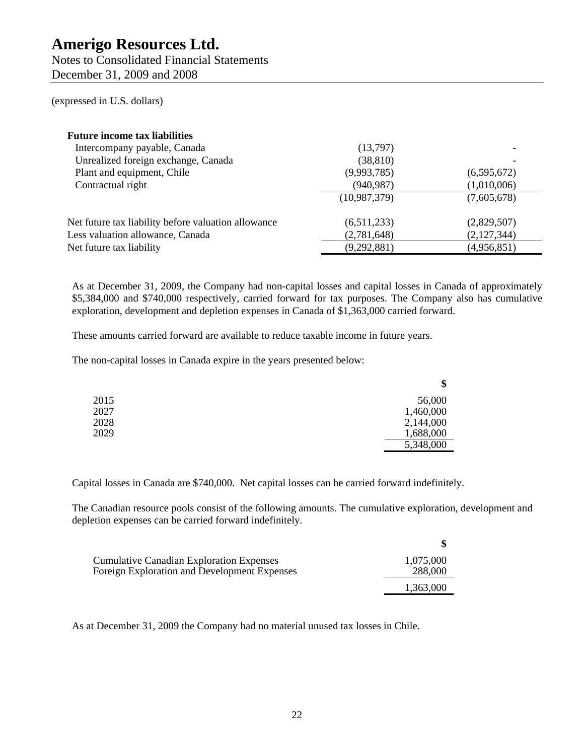Notes to Consolidated Financial Statements December 31, 2009 and 2008

(expressed in U.S. dollars)

| <b>Future income tax liabilities</b>                |              |             |
|-----------------------------------------------------|--------------|-------------|
| Intercompany payable, Canada                        | (13,797)     |             |
| Unrealized foreign exchange, Canada                 | (38, 810)    |             |
| Plant and equipment, Chile                          | (9,993,785)  | (6,595,672) |
| Contractual right                                   | (940, 987)   | (1,010,006) |
|                                                     | (10,987,379) | (7,605,678) |
| Net future tax liability before valuation allowance | (6,511,233)  | (2,829,507) |
| Less valuation allowance, Canada                    | (2,781,648)  | (2,127,344) |
| Net future tax liability                            | (9,292,881)  | (4,956,851) |

As at December 31, 2009, the Company had non-capital losses and capital losses in Canada of approximately \$5,384,000 and \$740,000 respectively, carried forward for tax purposes. The Company also has cumulative exploration, development and depletion expenses in Canada of \$1,363,000 carried forward.

These amounts carried forward are available to reduce taxable income in future years.

The non-capital losses in Canada expire in the years presented below:

|      | \$        |
|------|-----------|
| 2015 | 56,000    |
| 2027 | 1,460,000 |
| 2028 | 2,144,000 |
| 2029 | 1,688,000 |
|      | 5,348,000 |

Capital losses in Canada are \$740,000. Net capital losses can be carried forward indefinitely.

The Canadian resource pools consist of the following amounts. The cumulative exploration, development and depletion expenses can be carried forward indefinitely.

| <b>Cumulative Canadian Exploration Expenses</b> | 1,075,000 |
|-------------------------------------------------|-----------|
| Foreign Exploration and Development Expenses    | 288,000   |
|                                                 | 1,363,000 |

As at December 31, 2009 the Company had no material unused tax losses in Chile.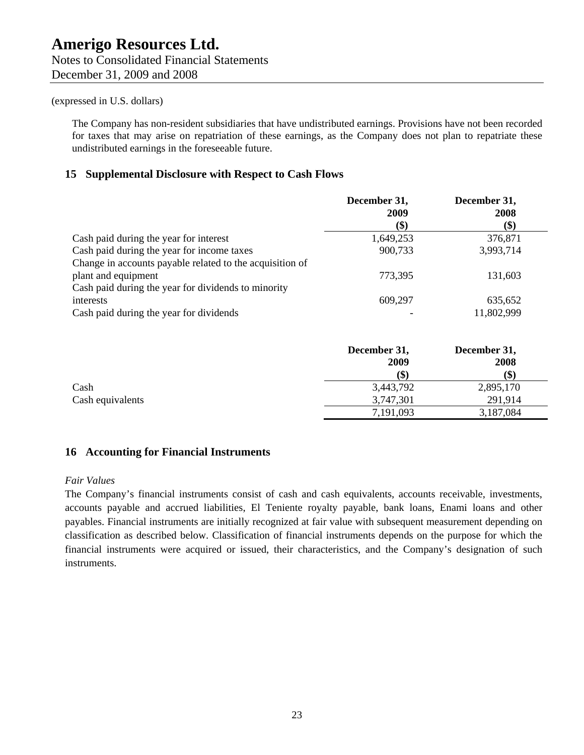The Company has non-resident subsidiaries that have undistributed earnings. Provisions have not been recorded for taxes that may arise on repatriation of these earnings, as the Company does not plan to repatriate these undistributed earnings in the foreseeable future.

## **15 Supplemental Disclosure with Respect to Cash Flows**

|                                                          | December 31,<br>2009 | December 31,<br>2008 |
|----------------------------------------------------------|----------------------|----------------------|
|                                                          | \$)                  | \$)                  |
| Cash paid during the year for interest                   | 1,649,253            | 376,871              |
| Cash paid during the year for income taxes               | 900,733              | 3,993,714            |
| Change in accounts payable related to the acquisition of |                      |                      |
| plant and equipment                                      | 773,395              | 131,603              |
| Cash paid during the year for dividends to minority      |                      |                      |
| interests                                                | 609,297              | 635,652              |
| Cash paid during the year for dividends                  |                      | 11,802,999           |

|                  | December 31, | December 31, |
|------------------|--------------|--------------|
|                  | 2009         | 2008         |
|                  | (\$)         | \$)          |
| Cash             | 3,443,792    | 2,895,170    |
| Cash equivalents | 3,747,301    | 291,914      |
|                  | 7,191,093    | 3,187,084    |

## **16 Accounting for Financial Instruments**

#### *Fair Values*

The Company's financial instruments consist of cash and cash equivalents, accounts receivable, investments, accounts payable and accrued liabilities, El Teniente royalty payable, bank loans, Enami loans and other payables. Financial instruments are initially recognized at fair value with subsequent measurement depending on classification as described below. Classification of financial instruments depends on the purpose for which the financial instruments were acquired or issued, their characteristics, and the Company's designation of such instruments.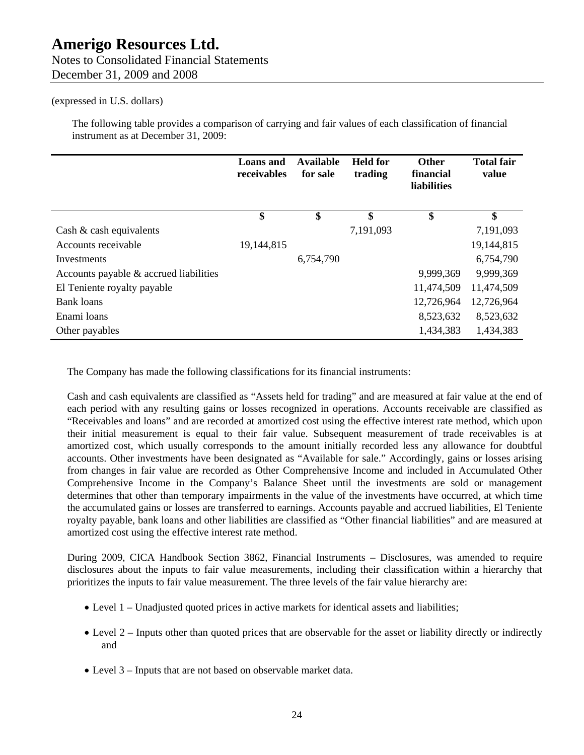## Notes to Consolidated Financial Statements December 31, 2009 and 2008

(expressed in U.S. dollars)

The following table provides a comparison of carrying and fair values of each classification of financial instrument as at December 31, 2009:

|                                        | <b>Loans</b> and<br>receivables | <b>Available</b><br>for sale | <b>Held for</b><br>trading | <b>Other</b><br>financial<br>liabilities | <b>Total fair</b><br>value |
|----------------------------------------|---------------------------------|------------------------------|----------------------------|------------------------------------------|----------------------------|
|                                        | \$                              | \$                           | \$                         | \$                                       | \$                         |
| Cash $\&$ cash equivalents             |                                 |                              | 7,191,093                  |                                          | 7,191,093                  |
| Accounts receivable                    | 19,144,815                      |                              |                            |                                          | 19,144,815                 |
| Investments                            |                                 | 6,754,790                    |                            |                                          | 6,754,790                  |
| Accounts payable & accrued liabilities |                                 |                              |                            | 9,999,369                                | 9,999,369                  |
| El Teniente royalty payable            |                                 |                              |                            | 11,474,509                               | 11,474,509                 |
| Bank loans                             |                                 |                              |                            | 12,726,964                               | 12,726,964                 |
| Enami loans                            |                                 |                              |                            | 8,523,632                                | 8,523,632                  |
| Other payables                         |                                 |                              |                            | 1,434,383                                | 1,434,383                  |

The Company has made the following classifications for its financial instruments:

Cash and cash equivalents are classified as "Assets held for trading" and are measured at fair value at the end of each period with any resulting gains or losses recognized in operations. Accounts receivable are classified as "Receivables and loans" and are recorded at amortized cost using the effective interest rate method, which upon their initial measurement is equal to their fair value. Subsequent measurement of trade receivables is at amortized cost, which usually corresponds to the amount initially recorded less any allowance for doubtful accounts. Other investments have been designated as "Available for sale." Accordingly, gains or losses arising from changes in fair value are recorded as Other Comprehensive Income and included in Accumulated Other Comprehensive Income in the Company's Balance Sheet until the investments are sold or management determines that other than temporary impairments in the value of the investments have occurred, at which time the accumulated gains or losses are transferred to earnings. Accounts payable and accrued liabilities, El Teniente royalty payable, bank loans and other liabilities are classified as "Other financial liabilities" and are measured at amortized cost using the effective interest rate method.

During 2009, CICA Handbook Section 3862, Financial Instruments – Disclosures, was amended to require disclosures about the inputs to fair value measurements, including their classification within a hierarchy that prioritizes the inputs to fair value measurement. The three levels of the fair value hierarchy are:

- Level 1 Unadjusted quoted prices in active markets for identical assets and liabilities;
- Level 2 Inputs other than quoted prices that are observable for the asset or liability directly or indirectly and
- Level 3 Inputs that are not based on observable market data.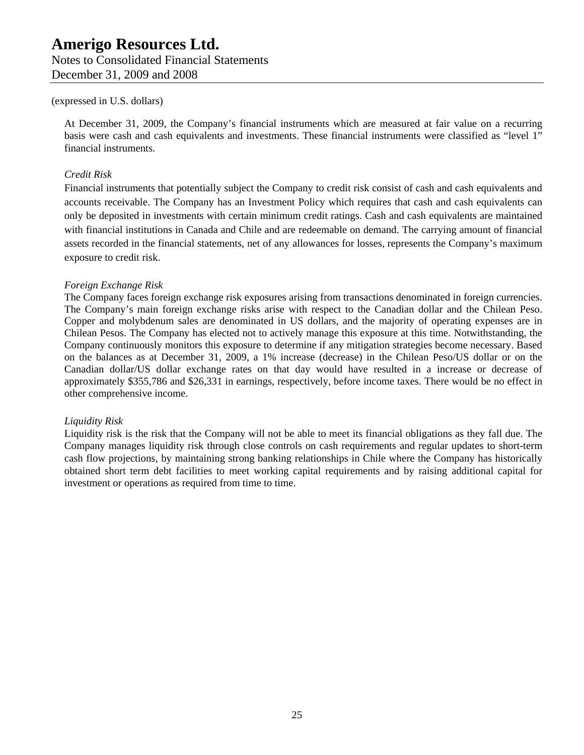Notes to Consolidated Financial Statements December 31, 2009 and 2008

#### (expressed in U.S. dollars)

At December 31, 2009, the Company's financial instruments which are measured at fair value on a recurring basis were cash and cash equivalents and investments. These financial instruments were classified as "level 1" financial instruments.

## *Credit Risk*

Financial instruments that potentially subject the Company to credit risk consist of cash and cash equivalents and accounts receivable. The Company has an Investment Policy which requires that cash and cash equivalents can only be deposited in investments with certain minimum credit ratings. Cash and cash equivalents are maintained with financial institutions in Canada and Chile and are redeemable on demand. The carrying amount of financial assets recorded in the financial statements, net of any allowances for losses, represents the Company's maximum exposure to credit risk.

#### *Foreign Exchange Risk*

The Company faces foreign exchange risk exposures arising from transactions denominated in foreign currencies. The Company's main foreign exchange risks arise with respect to the Canadian dollar and the Chilean Peso. Copper and molybdenum sales are denominated in US dollars, and the majority of operating expenses are in Chilean Pesos. The Company has elected not to actively manage this exposure at this time. Notwithstanding, the Company continuously monitors this exposure to determine if any mitigation strategies become necessary. Based on the balances as at December 31, 2009, a 1% increase (decrease) in the Chilean Peso/US dollar or on the Canadian dollar/US dollar exchange rates on that day would have resulted in a increase or decrease of approximately \$355,786 and \$26,331 in earnings, respectively, before income taxes. There would be no effect in other comprehensive income.

## *Liquidity Risk*

Liquidity risk is the risk that the Company will not be able to meet its financial obligations as they fall due. The Company manages liquidity risk through close controls on cash requirements and regular updates to short-term cash flow projections, by maintaining strong banking relationships in Chile where the Company has historically obtained short term debt facilities to meet working capital requirements and by raising additional capital for investment or operations as required from time to time.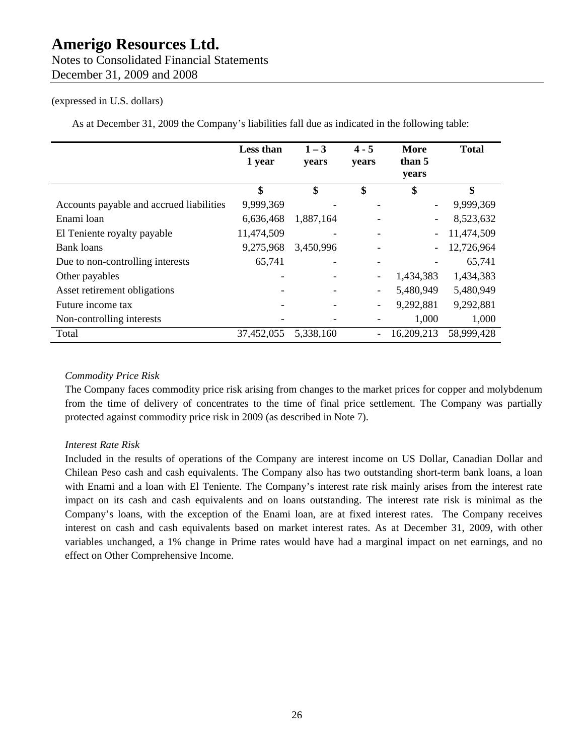## Notes to Consolidated Financial Statements December 31, 2009 and 2008

## (expressed in U.S. dollars)

As at December 31, 2009 the Company's liabilities fall due as indicated in the following table:

|                                          | <b>Less than</b><br>1 year | $1 - 3$<br>years | $4 - 5$<br>years         | <b>More</b><br>than 5<br>years | <b>Total</b> |
|------------------------------------------|----------------------------|------------------|--------------------------|--------------------------------|--------------|
|                                          | \$                         | \$               | \$                       | \$                             | \$           |
| Accounts payable and accrued liabilities | 9,999,369                  |                  |                          |                                | 9,999,369    |
| Enami loan                               | 6,636,468                  | 1,887,164        |                          |                                | 8,523,632    |
| El Teniente royalty payable              | 11,474,509                 |                  |                          |                                | 11,474,509   |
| <b>Bank loans</b>                        | 9,275,968                  | 3,450,996        |                          |                                | 12,726,964   |
| Due to non-controlling interests         | 65,741                     |                  |                          |                                | 65,741       |
| Other payables                           |                            |                  | $\overline{\phantom{a}}$ | 1,434,383                      | 1,434,383    |
| Asset retirement obligations             |                            |                  | $\overline{\phantom{a}}$ | 5,480,949                      | 5,480,949    |
| Future income tax                        |                            |                  | $\overline{\phantom{a}}$ | 9,292,881                      | 9,292,881    |
| Non-controlling interests                |                            |                  |                          | 1,000                          | 1,000        |
| Total                                    | 37,452,055                 | 5,338,160        | $\blacksquare$           | 16,209,213                     | 58,999,428   |

## *Commodity Price Risk*

The Company faces commodity price risk arising from changes to the market prices for copper and molybdenum from the time of delivery of concentrates to the time of final price settlement. The Company was partially protected against commodity price risk in 2009 (as described in Note 7).

## *Interest Rate Risk*

Included in the results of operations of the Company are interest income on US Dollar, Canadian Dollar and Chilean Peso cash and cash equivalents. The Company also has two outstanding short-term bank loans, a loan with Enami and a loan with El Teniente. The Company's interest rate risk mainly arises from the interest rate impact on its cash and cash equivalents and on loans outstanding. The interest rate risk is minimal as the Company's loans, with the exception of the Enami loan, are at fixed interest rates. The Company receives interest on cash and cash equivalents based on market interest rates. As at December 31, 2009, with other variables unchanged, a 1% change in Prime rates would have had a marginal impact on net earnings, and no effect on Other Comprehensive Income.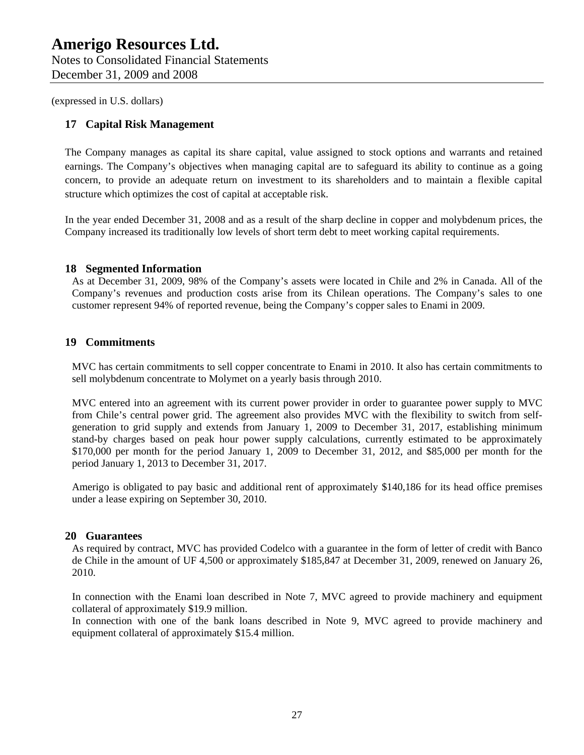## **17 Capital Risk Management**

The Company manages as capital its share capital, value assigned to stock options and warrants and retained earnings. The Company's objectives when managing capital are to safeguard its ability to continue as a going concern, to provide an adequate return on investment to its shareholders and to maintain a flexible capital structure which optimizes the cost of capital at acceptable risk.

In the year ended December 31, 2008 and as a result of the sharp decline in copper and molybdenum prices, the Company increased its traditionally low levels of short term debt to meet working capital requirements.

#### **18 Segmented Information**

As at December 31, 2009, 98% of the Company's assets were located in Chile and 2% in Canada. All of the Company's revenues and production costs arise from its Chilean operations. The Company's sales to one customer represent 94% of reported revenue, being the Company's copper sales to Enami in 2009.

## **19 Commitments**

MVC has certain commitments to sell copper concentrate to Enami in 2010. It also has certain commitments to sell molybdenum concentrate to Molymet on a yearly basis through 2010.

MVC entered into an agreement with its current power provider in order to guarantee power supply to MVC from Chile's central power grid. The agreement also provides MVC with the flexibility to switch from selfgeneration to grid supply and extends from January 1, 2009 to December 31, 2017, establishing minimum stand-by charges based on peak hour power supply calculations, currently estimated to be approximately \$170,000 per month for the period January 1, 2009 to December 31, 2012, and \$85,000 per month for the period January 1, 2013 to December 31, 2017.

Amerigo is obligated to pay basic and additional rent of approximately \$140,186 for its head office premises under a lease expiring on September 30, 2010.

#### **20 Guarantees**

As required by contract, MVC has provided Codelco with a guarantee in the form of letter of credit with Banco de Chile in the amount of UF 4,500 or approximately \$185,847 at December 31, 2009, renewed on January 26, 2010.

In connection with the Enami loan described in Note 7, MVC agreed to provide machinery and equipment collateral of approximately \$19.9 million.

In connection with one of the bank loans described in Note 9, MVC agreed to provide machinery and equipment collateral of approximately \$15.4 million.